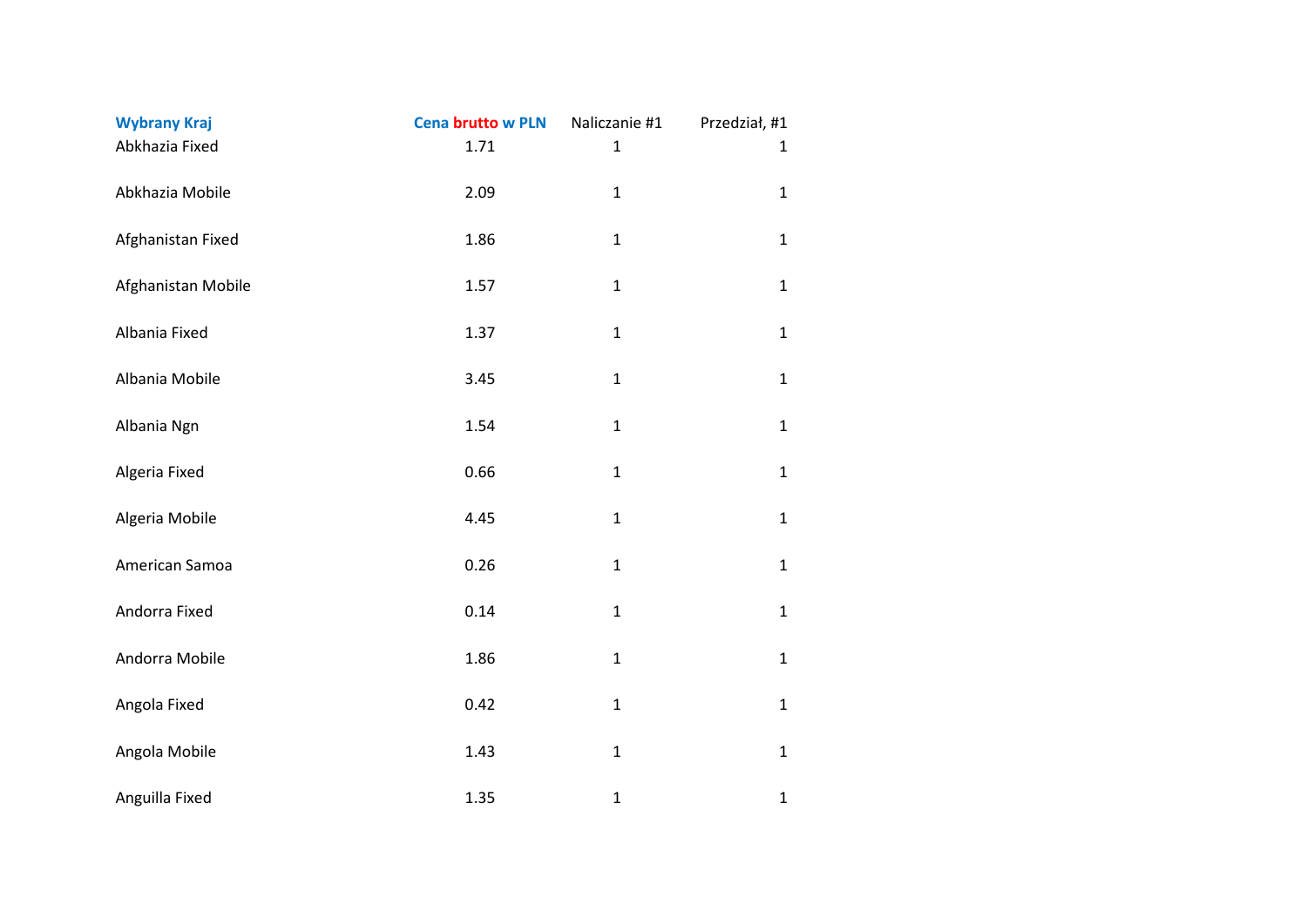| <b>Wybrany Kraj</b> | <b>Cena brutto w PLN</b> | Naliczanie #1 | Przedział, #1 |
|---------------------|--------------------------|---------------|---------------|
| Abkhazia Fixed      | 1.71                     | $\mathbf{1}$  | $\mathbf{1}$  |
| Abkhazia Mobile     | 2.09                     | $\mathbf 1$   | $\mathbf{1}$  |
| Afghanistan Fixed   | 1.86                     | $\mathbf{1}$  | $\mathbf{1}$  |
| Afghanistan Mobile  | 1.57                     | $\mathbf 1$   | $\mathbf{1}$  |
| Albania Fixed       | 1.37                     | $\mathbf{1}$  | $\mathbf{1}$  |
| Albania Mobile      | 3.45                     | $\mathbf{1}$  | $\mathbf{1}$  |
| Albania Ngn         | 1.54                     | $\mathbf{1}$  | $\mathbf{1}$  |
| Algeria Fixed       | 0.66                     | $\mathbf{1}$  | $\mathbf{1}$  |
| Algeria Mobile      | 4.45                     | $\mathbf{1}$  | $\mathbf{1}$  |
| American Samoa      | 0.26                     | $\mathbf 1$   | $\mathbf{1}$  |
| Andorra Fixed       | 0.14                     | $\mathbf{1}$  | $\mathbf{1}$  |
| Andorra Mobile      | 1.86                     | $\mathbf 1$   | $\mathbf{1}$  |
| Angola Fixed        | 0.42                     | $\mathbf{1}$  | $\mathbf{1}$  |
| Angola Mobile       | 1.43                     | $\mathbf 1$   | $\mathbf{1}$  |
| Anguilla Fixed      | 1.35                     | $\mathbf{1}$  | $\mathbf{1}$  |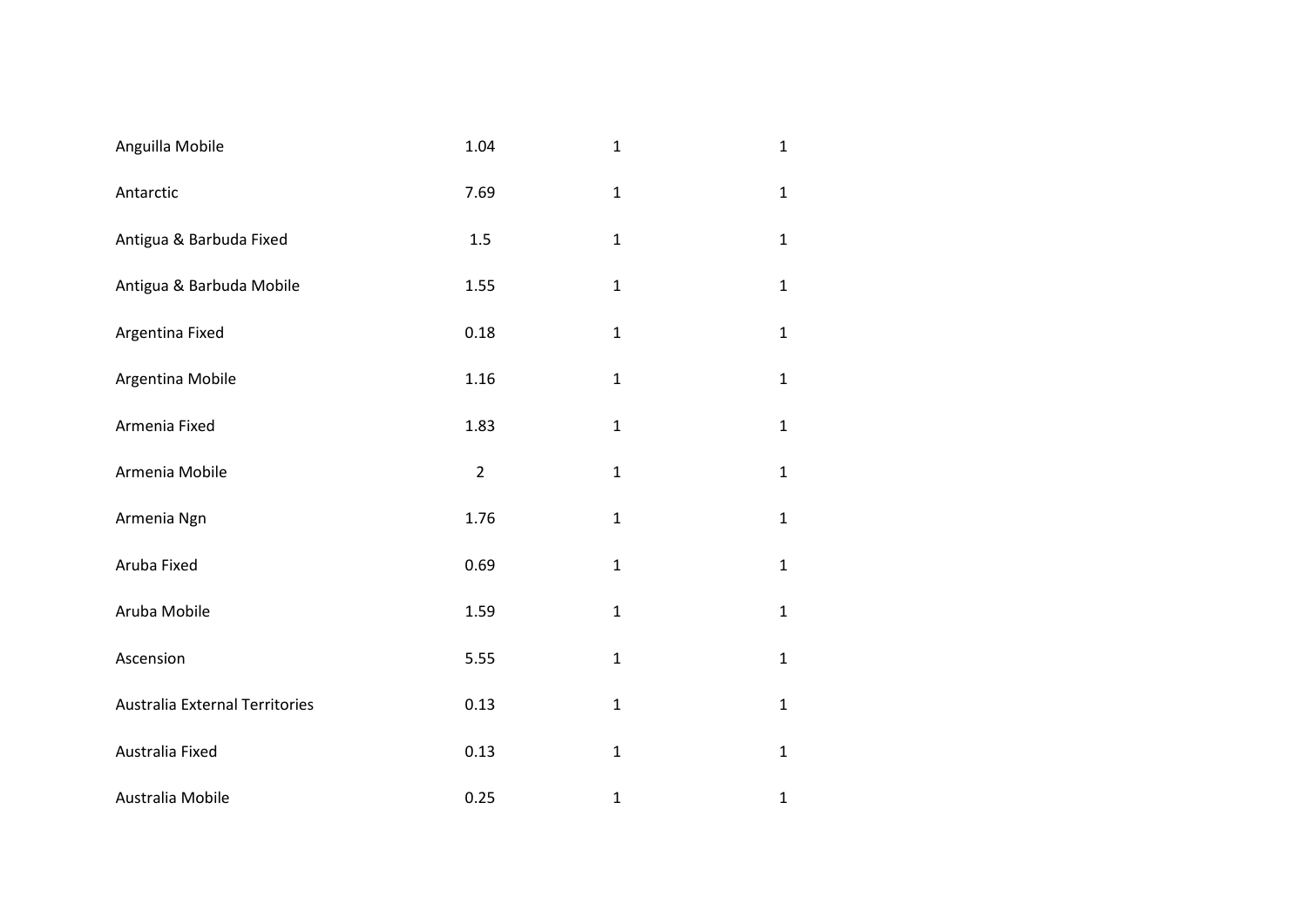| Anguilla Mobile                | 1.04           | $\mathbf{1}$ | $\mathbf{1}$ |
|--------------------------------|----------------|--------------|--------------|
| Antarctic                      | 7.69           | $\mathbf{1}$ | $\mathbf{1}$ |
| Antigua & Barbuda Fixed        | 1.5            | $\mathbf{1}$ | $\mathbf{1}$ |
| Antigua & Barbuda Mobile       | 1.55           | $\mathbf{1}$ | $\mathbf{1}$ |
| Argentina Fixed                | 0.18           | $\mathbf{1}$ | $\mathbf{1}$ |
| Argentina Mobile               | 1.16           | $\mathbf{1}$ | $\mathbf{1}$ |
| Armenia Fixed                  | 1.83           | $\mathbf{1}$ | $\mathbf{1}$ |
| Armenia Mobile                 | $\overline{2}$ | $\mathbf{1}$ | $\mathbf{1}$ |
| Armenia Ngn                    | 1.76           | $\mathbf{1}$ | $\mathbf{1}$ |
| Aruba Fixed                    | 0.69           | $\mathbf{1}$ | $\mathbf{1}$ |
| Aruba Mobile                   | 1.59           | $\mathbf{1}$ | $\mathbf{1}$ |
| Ascension                      | 5.55           | $\mathbf{1}$ | $\mathbf{1}$ |
| Australia External Territories | 0.13           | $\mathbf{1}$ | $\mathbf{1}$ |
| Australia Fixed                | 0.13           | $\mathbf 1$  | $\mathbf{1}$ |
| Australia Mobile               | 0.25           | $\mathbf{1}$ | $\mathbf{1}$ |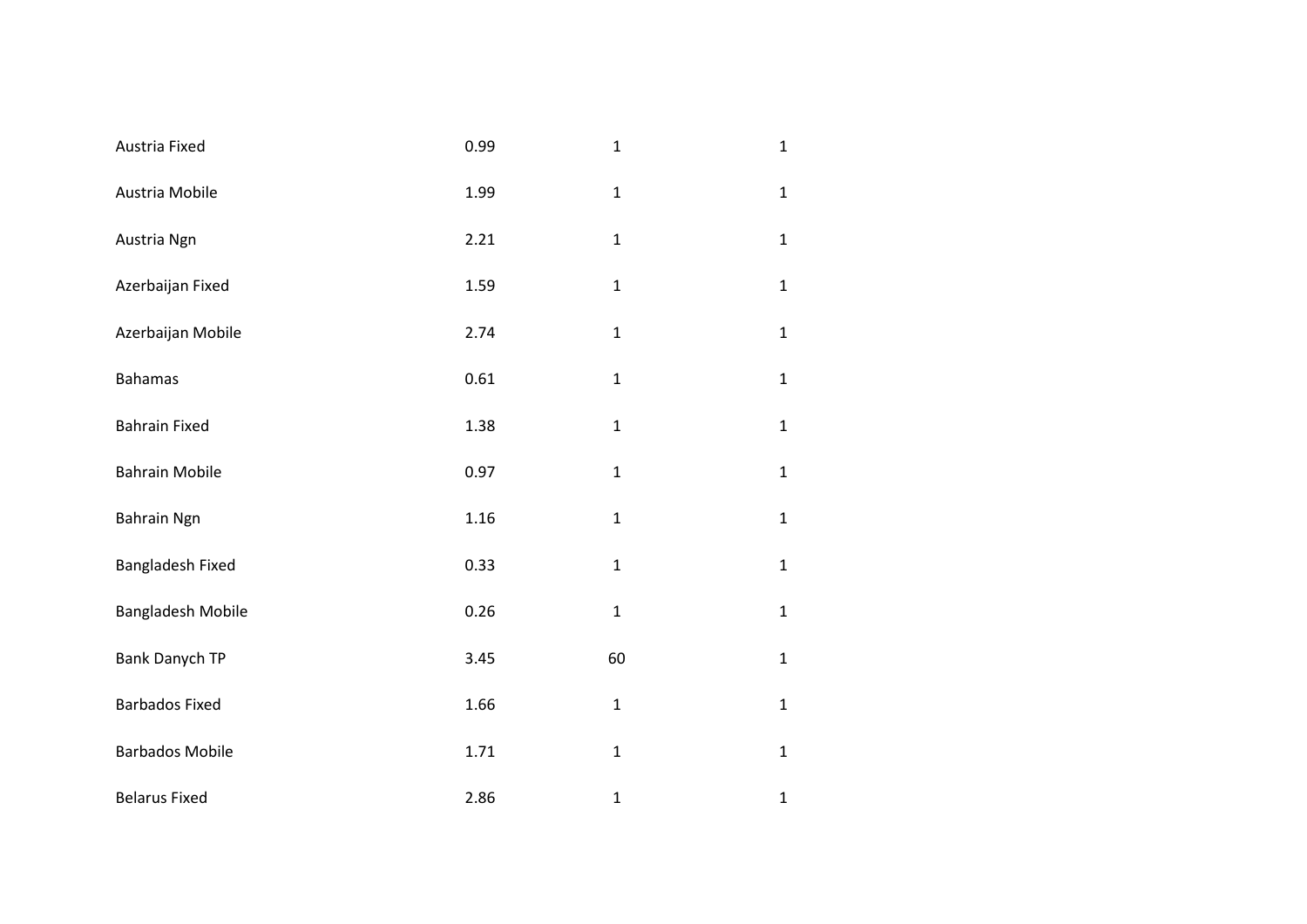| Austria Fixed            | 0.99 | $\mathbf{1}$ | $\mathbf{1}$ |
|--------------------------|------|--------------|--------------|
| Austria Mobile           | 1.99 | $\mathbf 1$  | $\mathbf{1}$ |
| Austria Ngn              | 2.21 | $\mathbf 1$  | $\mathbf{1}$ |
| Azerbaijan Fixed         | 1.59 | $\mathbf 1$  | $\mathbf{1}$ |
| Azerbaijan Mobile        | 2.74 | $\mathbf{1}$ | $\mathbf{1}$ |
| <b>Bahamas</b>           | 0.61 | $\mathbf{1}$ | $\mathbf{1}$ |
| <b>Bahrain Fixed</b>     | 1.38 | $\mathbf{1}$ | $\mathbf{1}$ |
| <b>Bahrain Mobile</b>    | 0.97 | $\mathbf 1$  | $\mathbf{1}$ |
| Bahrain Ngn              | 1.16 | $\mathbf{1}$ | $\mathbf{1}$ |
| Bangladesh Fixed         | 0.33 | $\mathbf{1}$ | $\mathbf{1}$ |
| <b>Bangladesh Mobile</b> | 0.26 | $\mathbf 1$  | $\mathbf{1}$ |
| Bank Danych TP           | 3.45 | 60           | $\mathbf{1}$ |
| <b>Barbados Fixed</b>    | 1.66 | $\mathbf{1}$ | $\mathbf{1}$ |
| <b>Barbados Mobile</b>   | 1.71 | $\mathbf 1$  | $\mathbf{1}$ |
| <b>Belarus Fixed</b>     | 2.86 | $\mathbf{1}$ | $\mathbf{1}$ |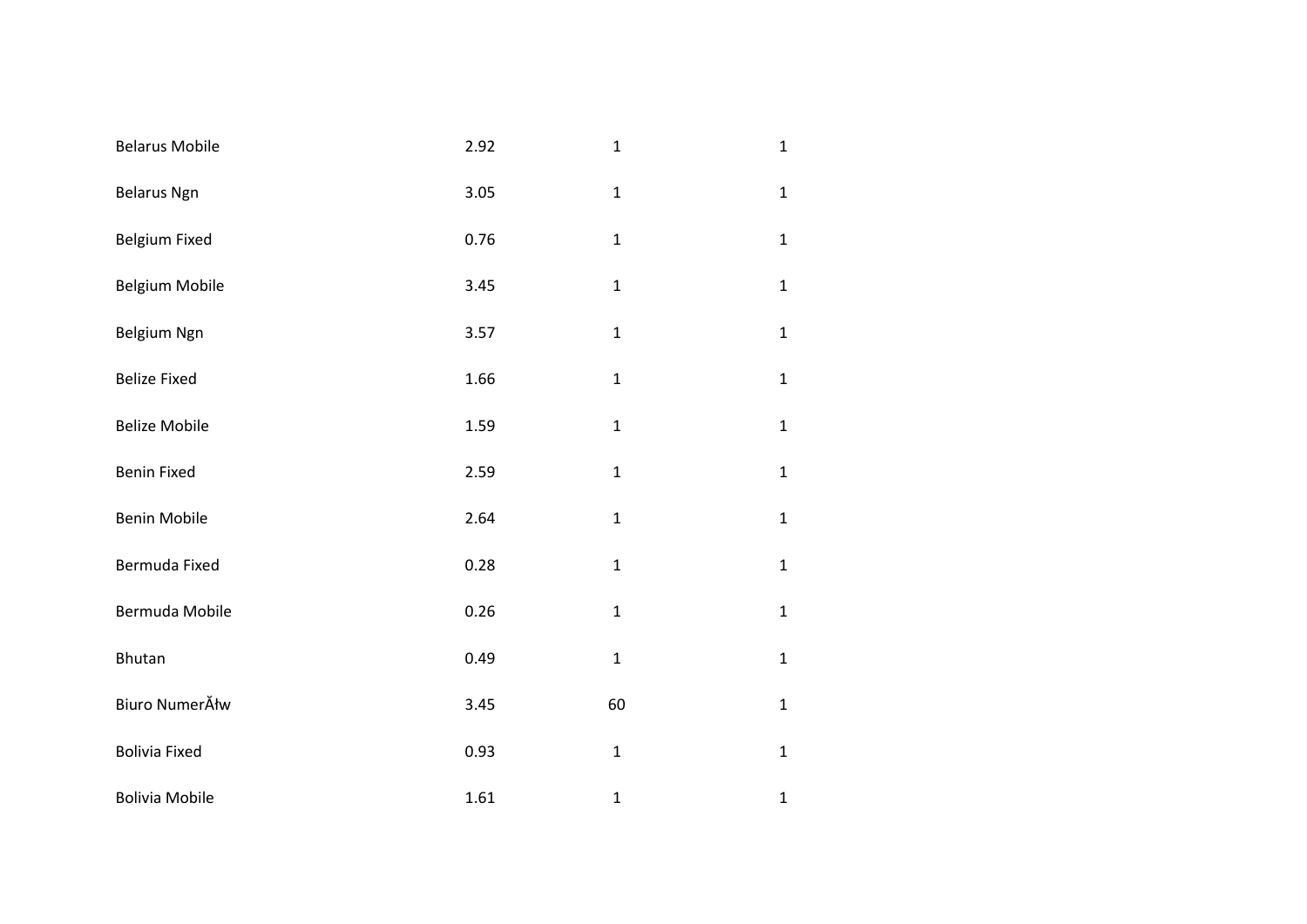| <b>Belarus Mobile</b> | 2.92 | $\mathbf{1}$ | $\mathbf{1}$ |
|-----------------------|------|--------------|--------------|
| <b>Belarus Ngn</b>    | 3.05 | $\mathbf 1$  | $\mathbf{1}$ |
| Belgium Fixed         | 0.76 | $\mathbf 1$  | $\mathbf{1}$ |
| Belgium Mobile        | 3.45 | $\mathbf 1$  | $\mathbf{1}$ |
| Belgium Ngn           | 3.57 | $\mathbf 1$  | $\mathbf{1}$ |
| <b>Belize Fixed</b>   | 1.66 | $\mathbf{1}$ | $\mathbf{1}$ |
| <b>Belize Mobile</b>  | 1.59 | $\mathbf{1}$ | $\mathbf{1}$ |
| <b>Benin Fixed</b>    | 2.59 | $\mathbf 1$  | $\mathbf{1}$ |
| <b>Benin Mobile</b>   | 2.64 | $\mathbf{1}$ | $\mathbf{1}$ |
| Bermuda Fixed         | 0.28 | $\mathbf 1$  | $\mathbf{1}$ |
| Bermuda Mobile        | 0.26 | $\mathbf{1}$ | $\mathbf{1}$ |
| Bhutan                | 0.49 | $\mathbf{1}$ | $\mathbf{1}$ |
| Biuro NumerĂłw        | 3.45 | 60           | $\mathbf{1}$ |
| <b>Bolivia Fixed</b>  | 0.93 | $\mathbf 1$  | $\mathbf{1}$ |
| <b>Bolivia Mobile</b> | 1.61 | $\mathbf{1}$ | $\mathbf 1$  |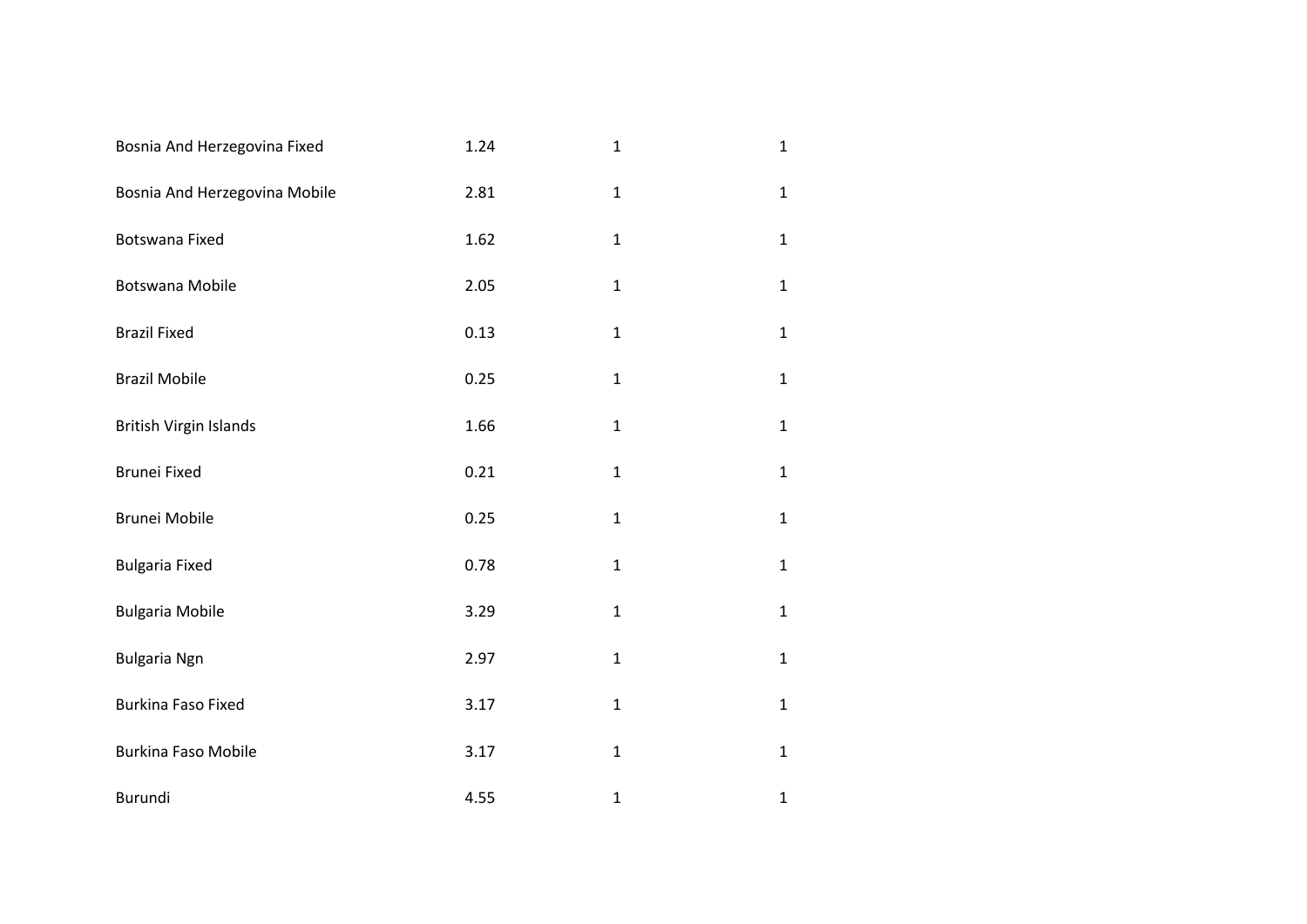| Bosnia And Herzegovina Fixed  | 1.24 | $\mathbf{1}$ | $\mathbf{1}$ |
|-------------------------------|------|--------------|--------------|
| Bosnia And Herzegovina Mobile | 2.81 | $\mathbf{1}$ | $\mathbf{1}$ |
| Botswana Fixed                | 1.62 | $\mathbf{1}$ | $\mathbf{1}$ |
| Botswana Mobile               | 2.05 | $\mathbf 1$  | $\mathbf{1}$ |
| <b>Brazil Fixed</b>           | 0.13 | $\mathbf{1}$ | $\mathbf{1}$ |
| <b>Brazil Mobile</b>          | 0.25 | $\mathbf{1}$ | $\mathbf{1}$ |
| <b>British Virgin Islands</b> | 1.66 | $\mathbf{1}$ | $\mathbf{1}$ |
| Brunei Fixed                  | 0.21 | $\mathbf{1}$ | $\mathbf{1}$ |
| <b>Brunei Mobile</b>          | 0.25 | $\mathbf{1}$ | $\mathbf{1}$ |
| <b>Bulgaria Fixed</b>         | 0.78 | $\mathbf 1$  | $\mathbf{1}$ |
| <b>Bulgaria Mobile</b>        | 3.29 | $\mathbf{1}$ | $\mathbf{1}$ |
| <b>Bulgaria Ngn</b>           | 2.97 | $\mathbf{1}$ | $\mathbf{1}$ |
| <b>Burkina Faso Fixed</b>     | 3.17 | $\mathbf{1}$ | $\mathbf{1}$ |
| <b>Burkina Faso Mobile</b>    | 3.17 | $\mathbf 1$  | $\mathbf{1}$ |
| Burundi                       | 4.55 | $\mathbf{1}$ | $\mathbf{1}$ |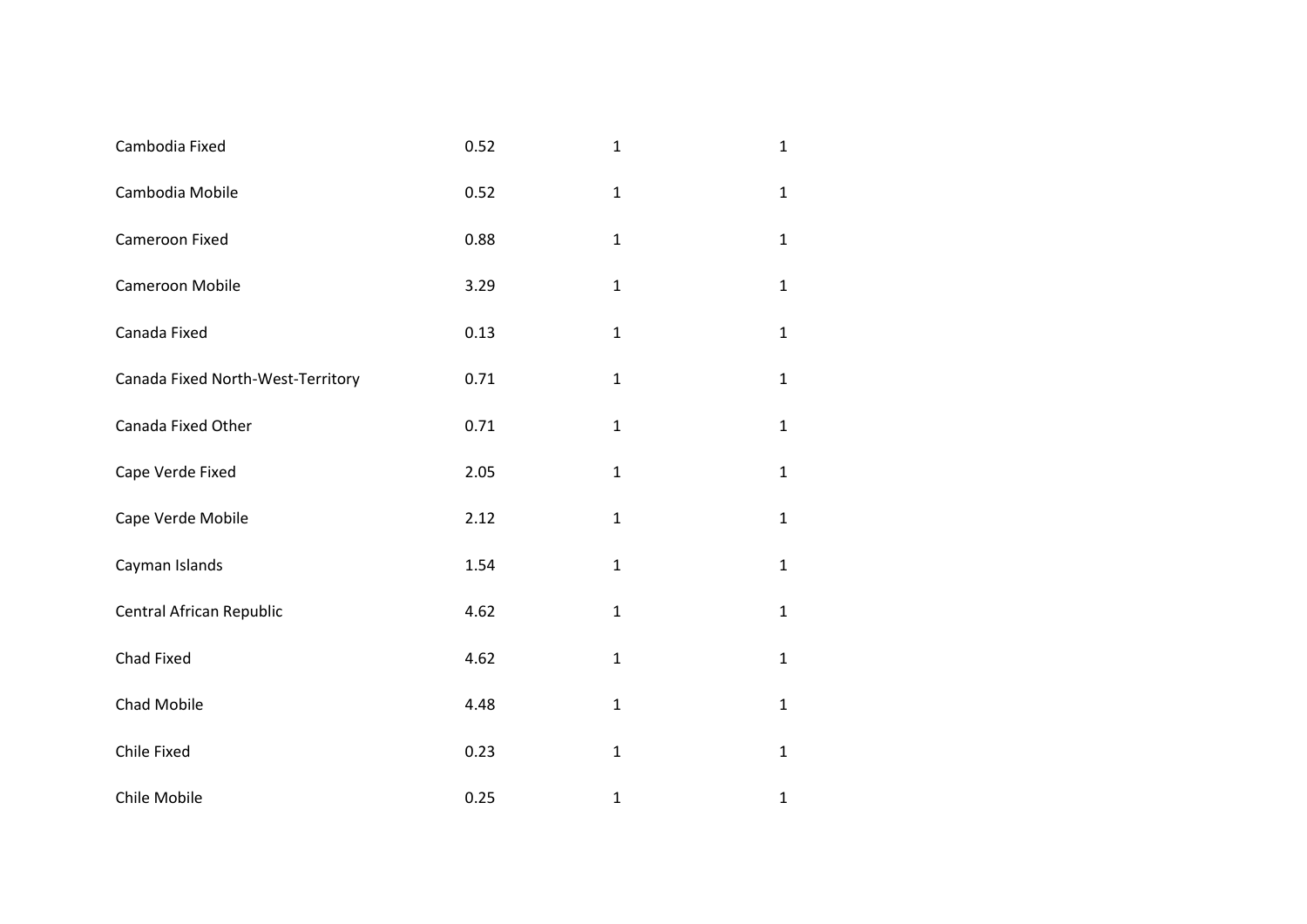| Cambodia Fixed                    | 0.52 | $\mathbf{1}$ | $\mathbf{1}$ |
|-----------------------------------|------|--------------|--------------|
| Cambodia Mobile                   | 0.52 | $\mathbf{1}$ | $\mathbf{1}$ |
| Cameroon Fixed                    | 0.88 | $\mathbf{1}$ | $\mathbf{1}$ |
| Cameroon Mobile                   | 3.29 | $\mathbf{1}$ | $\mathbf{1}$ |
| Canada Fixed                      | 0.13 | $\mathbf{1}$ | $\mathbf{1}$ |
| Canada Fixed North-West-Territory | 0.71 | $\mathbf{1}$ | $\mathbf{1}$ |
| Canada Fixed Other                | 0.71 | $\mathbf{1}$ | $\mathbf{1}$ |
| Cape Verde Fixed                  | 2.05 | $\mathbf{1}$ | $\mathbf{1}$ |
| Cape Verde Mobile                 | 2.12 | $\mathbf{1}$ | $\mathbf{1}$ |
| Cayman Islands                    | 1.54 | $\mathbf{1}$ | $\mathbf{1}$ |
| Central African Republic          | 4.62 | $\mathbf{1}$ | $\mathbf{1}$ |
| Chad Fixed                        | 4.62 | $\mathbf{1}$ | $\mathbf{1}$ |
| Chad Mobile                       | 4.48 | $\mathbf{1}$ | $\mathbf{1}$ |
| Chile Fixed                       | 0.23 | $\mathbf 1$  | $\mathbf{1}$ |
| Chile Mobile                      | 0.25 | $\mathbf{1}$ | $\mathbf{1}$ |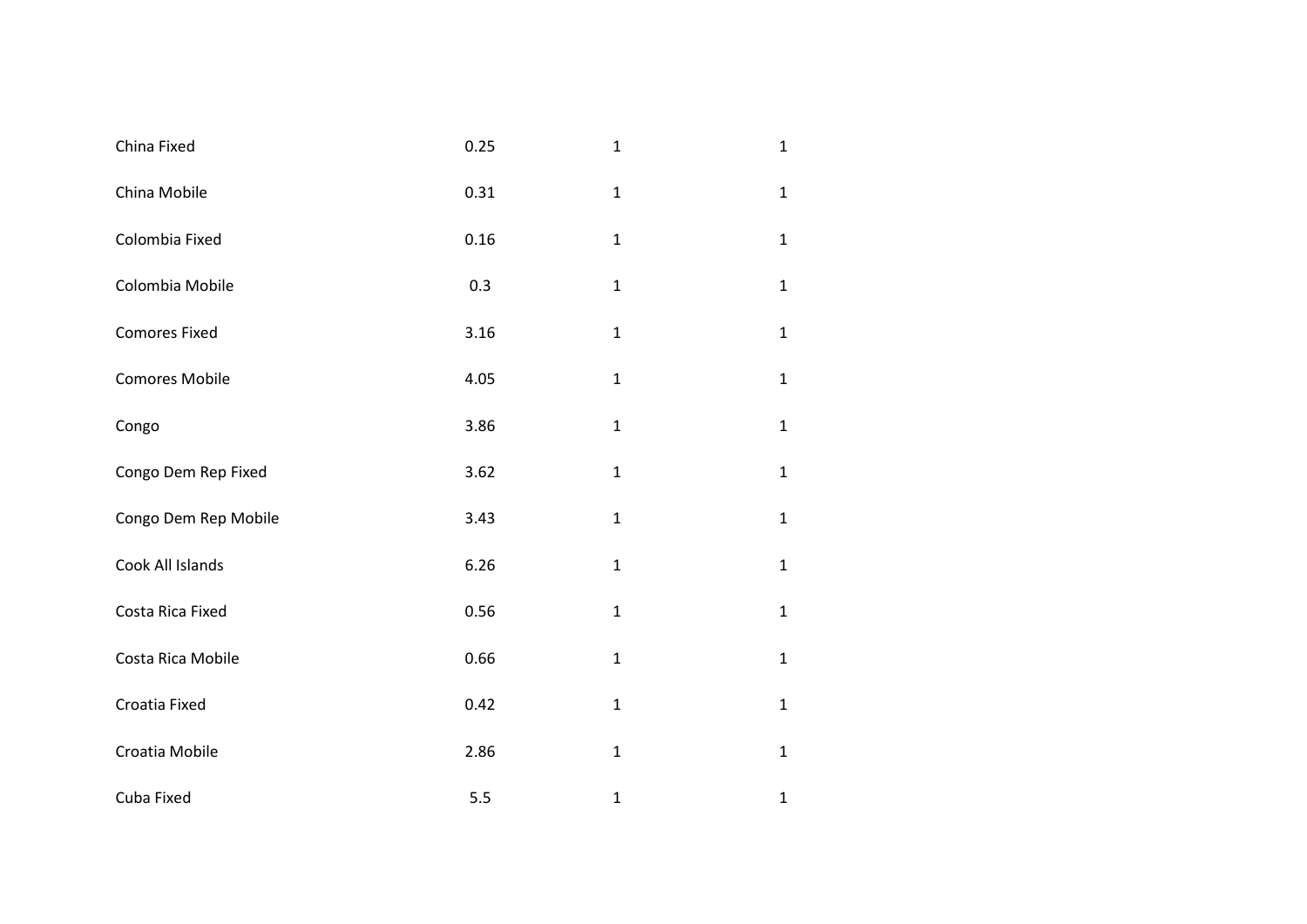| China Fixed           | 0.25 | $\mathbf{1}$ | $\mathbf{1}$ |
|-----------------------|------|--------------|--------------|
| China Mobile          | 0.31 | $\mathbf{1}$ | $\mathbf{1}$ |
| Colombia Fixed        | 0.16 | $\mathbf 1$  | $\mathbf{1}$ |
| Colombia Mobile       | 0.3  | $\mathbf 1$  | $\mathbf{1}$ |
| <b>Comores Fixed</b>  | 3.16 | $\mathbf{1}$ | $\mathbf{1}$ |
| <b>Comores Mobile</b> | 4.05 | $\mathbf{1}$ | $\mathbf{1}$ |
| Congo                 | 3.86 | $\mathbf{1}$ | $\mathbf{1}$ |
| Congo Dem Rep Fixed   | 3.62 | $\mathbf 1$  | $\mathbf{1}$ |
| Congo Dem Rep Mobile  | 3.43 | $\mathbf 1$  | $\mathbf{1}$ |
| Cook All Islands      | 6.26 | $\mathbf{1}$ | $\mathbf{1}$ |
| Costa Rica Fixed      | 0.56 | $\mathbf{1}$ | $\mathbf{1}$ |
| Costa Rica Mobile     | 0.66 | $\mathbf{1}$ | $\mathbf{1}$ |
| Croatia Fixed         | 0.42 | $\mathbf 1$  | $\mathbf{1}$ |
| Croatia Mobile        | 2.86 | $\mathbf 1$  | $\mathbf{1}$ |
| Cuba Fixed            | 5.5  | $\mathbf{1}$ | $\mathbf 1$  |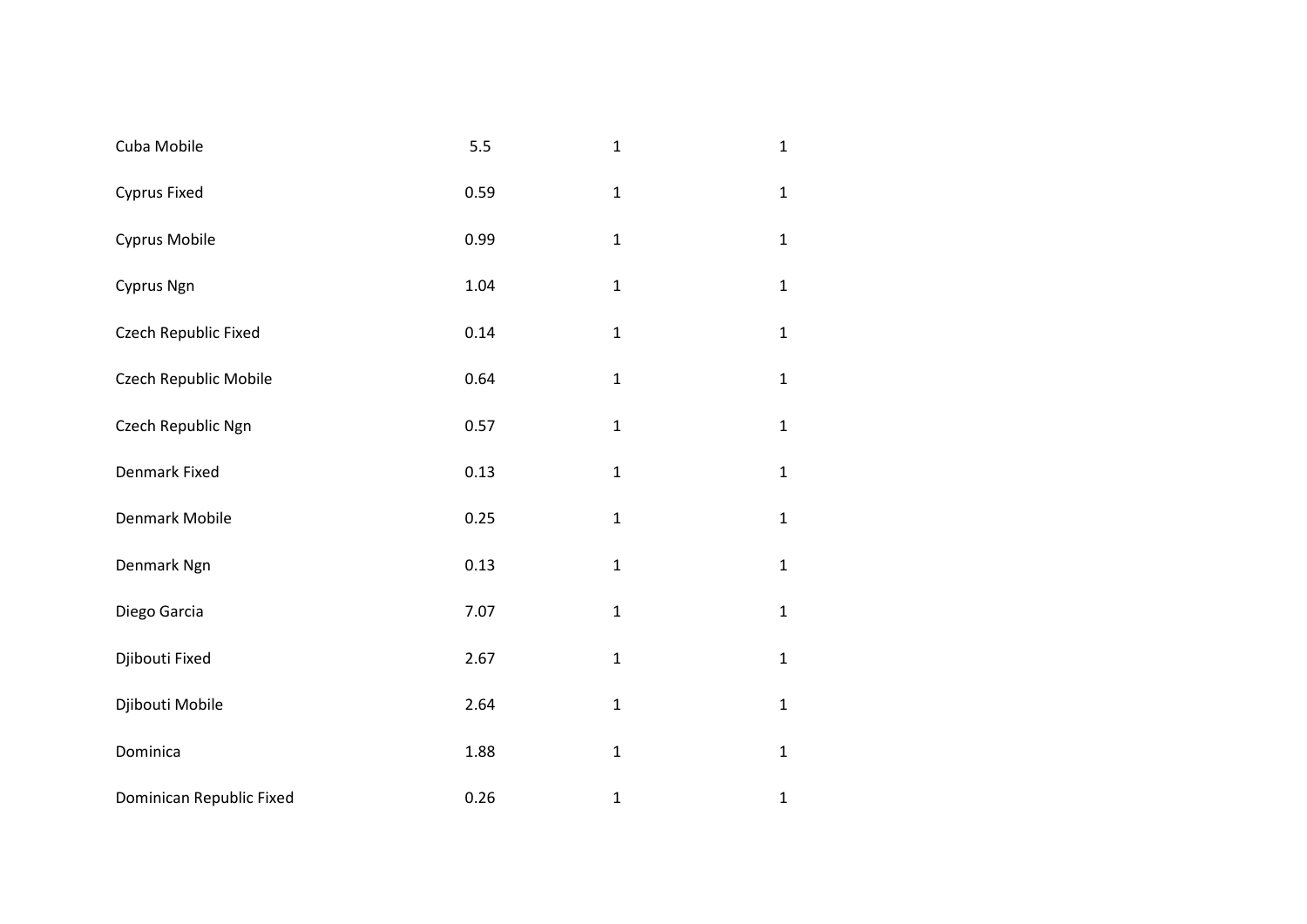| Cuba Mobile              | 5.5  | $\mathbf{1}$ | $\mathbf{1}$ |
|--------------------------|------|--------------|--------------|
| Cyprus Fixed             | 0.59 | $\mathbf{1}$ | $\mathbf 1$  |
| Cyprus Mobile            | 0.99 | $\mathbf{1}$ | $\mathbf 1$  |
| Cyprus Ngn               | 1.04 | $\mathbf{1}$ | $\mathbf 1$  |
| Czech Republic Fixed     | 0.14 | $\mathbf 1$  | $\mathbf 1$  |
| Czech Republic Mobile    | 0.64 | $\mathbf{1}$ | $\mathbf 1$  |
| Czech Republic Ngn       | 0.57 | $\mathbf{1}$ | $\mathbf 1$  |
| Denmark Fixed            | 0.13 | $\mathbf 1$  | $\mathbf 1$  |
| Denmark Mobile           | 0.25 | $\mathbf{1}$ | $\mathbf 1$  |
| Denmark Ngn              | 0.13 | $\mathbf 1$  | $\mathbf 1$  |
| Diego Garcia             | 7.07 | $\mathbf{1}$ | $\mathbf 1$  |
| Djibouti Fixed           | 2.67 | $\mathbf{1}$ | $\mathbf 1$  |
| Djibouti Mobile          | 2.64 | $\mathbf{1}$ | $\mathbf 1$  |
| Dominica                 | 1.88 | $\mathbf 1$  | $\mathbf 1$  |
| Dominican Republic Fixed | 0.26 | $\mathbf{1}$ | $\mathbf 1$  |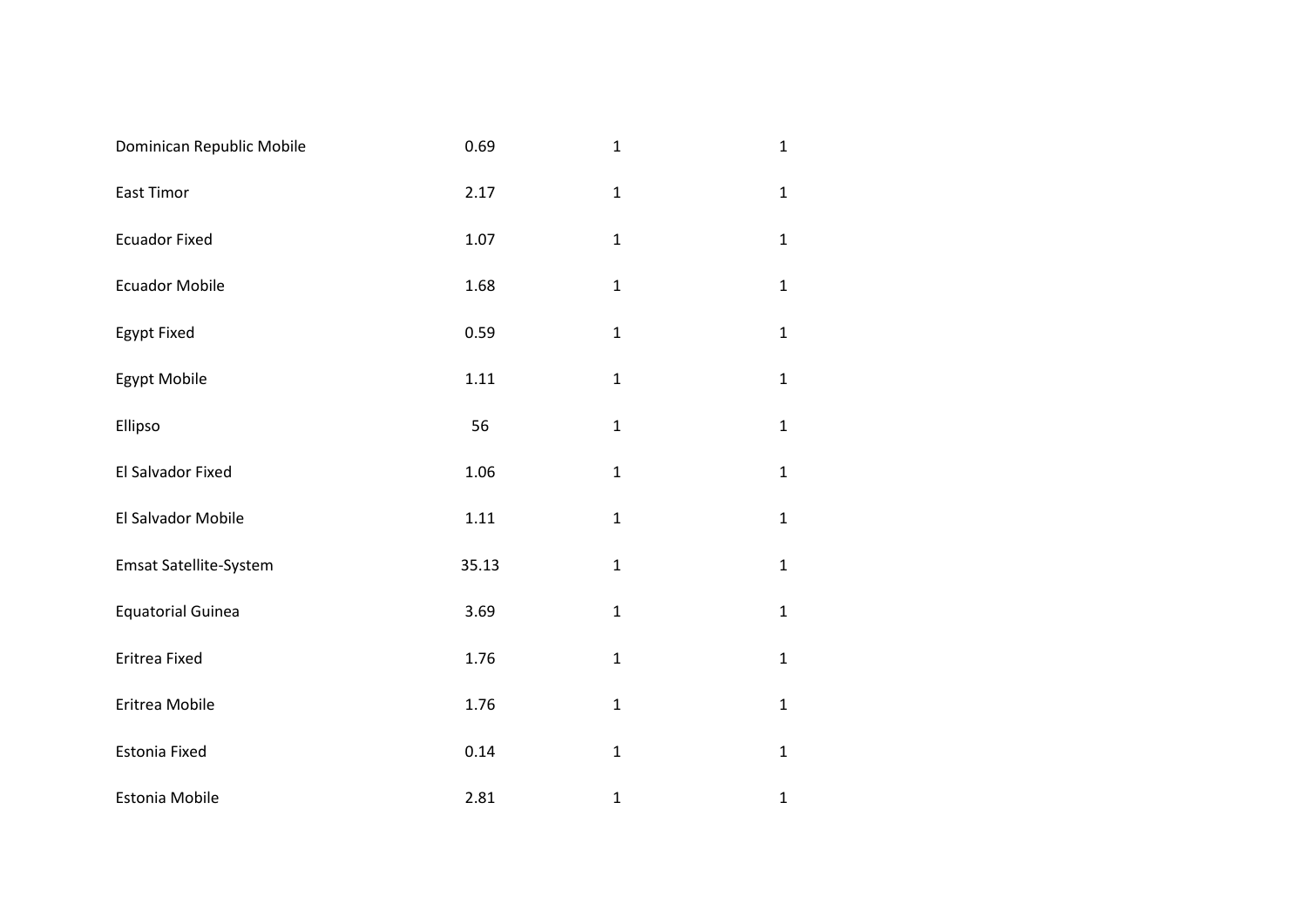| Dominican Republic Mobile     | 0.69  | $\mathbf{1}$ | $\mathbf{1}$ |
|-------------------------------|-------|--------------|--------------|
| East Timor                    | 2.17  | $\mathbf{1}$ | $\mathbf{1}$ |
| <b>Ecuador Fixed</b>          | 1.07  | $\mathbf{1}$ | $\mathbf{1}$ |
| <b>Ecuador Mobile</b>         | 1.68  | $\mathbf{1}$ | $\mathbf{1}$ |
| Egypt Fixed                   | 0.59  | $\mathbf{1}$ | $\mathbf{1}$ |
| Egypt Mobile                  | 1.11  | $\mathbf 1$  | $\mathbf{1}$ |
| Ellipso                       | 56    | $\mathbf{1}$ | $\mathbf{1}$ |
| El Salvador Fixed             | 1.06  | $\mathbf 1$  | $\mathbf{1}$ |
| El Salvador Mobile            | 1.11  | $\mathbf{1}$ | $\mathbf{1}$ |
| <b>Emsat Satellite-System</b> | 35.13 | $\mathbf 1$  | $\mathbf{1}$ |
| <b>Equatorial Guinea</b>      | 3.69  | $\mathbf{1}$ | $\mathbf{1}$ |
| Eritrea Fixed                 | 1.76  | $\mathbf{1}$ | $\mathbf{1}$ |
| Eritrea Mobile                | 1.76  | $\mathbf{1}$ | $\mathbf{1}$ |
| Estonia Fixed                 | 0.14  | $\mathbf{1}$ | $\mathbf{1}$ |
| Estonia Mobile                | 2.81  | $\mathbf{1}$ | $\mathbf{1}$ |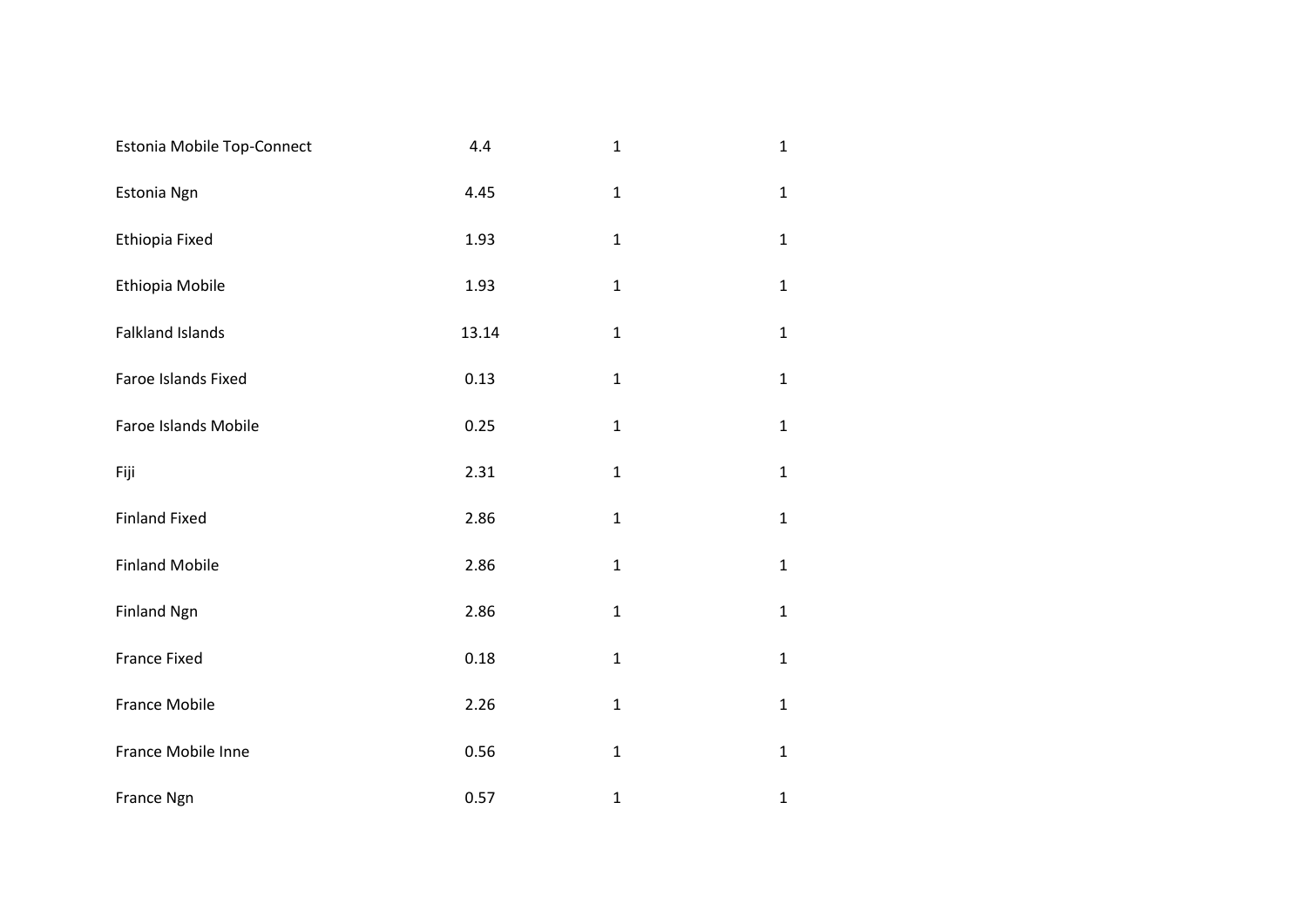| Estonia Mobile Top-Connect | 4.4   | $\mathbf{1}$ | $\mathbf{1}$ |
|----------------------------|-------|--------------|--------------|
| Estonia Ngn                | 4.45  | $\mathbf{1}$ | $\mathbf{1}$ |
| Ethiopia Fixed             | 1.93  | $\mathbf{1}$ | $\mathbf{1}$ |
| Ethiopia Mobile            | 1.93  | $\mathbf{1}$ | $\mathbf{1}$ |
| <b>Falkland Islands</b>    | 13.14 | $\mathbf{1}$ | $\mathbf{1}$ |
| Faroe Islands Fixed        | 0.13  | $\mathbf{1}$ | $\mathbf{1}$ |
| Faroe Islands Mobile       | 0.25  | $\mathbf{1}$ | $\mathbf{1}$ |
| Fiji                       | 2.31  | $\mathbf{1}$ | $\mathbf{1}$ |
| <b>Finland Fixed</b>       | 2.86  | $\mathbf 1$  | $\mathbf{1}$ |
| <b>Finland Mobile</b>      | 2.86  | $\mathbf 1$  | $\mathbf{1}$ |
| <b>Finland Ngn</b>         | 2.86  | $\mathbf{1}$ | $\mathbf{1}$ |
| France Fixed               | 0.18  | $\mathbf{1}$ | $\mathbf{1}$ |
| France Mobile              | 2.26  | $\mathbf{1}$ | $\mathbf{1}$ |
| France Mobile Inne         | 0.56  | $\mathbf{1}$ | $\mathbf{1}$ |
| France Ngn                 | 0.57  | $\mathbf{1}$ | $\mathbf{1}$ |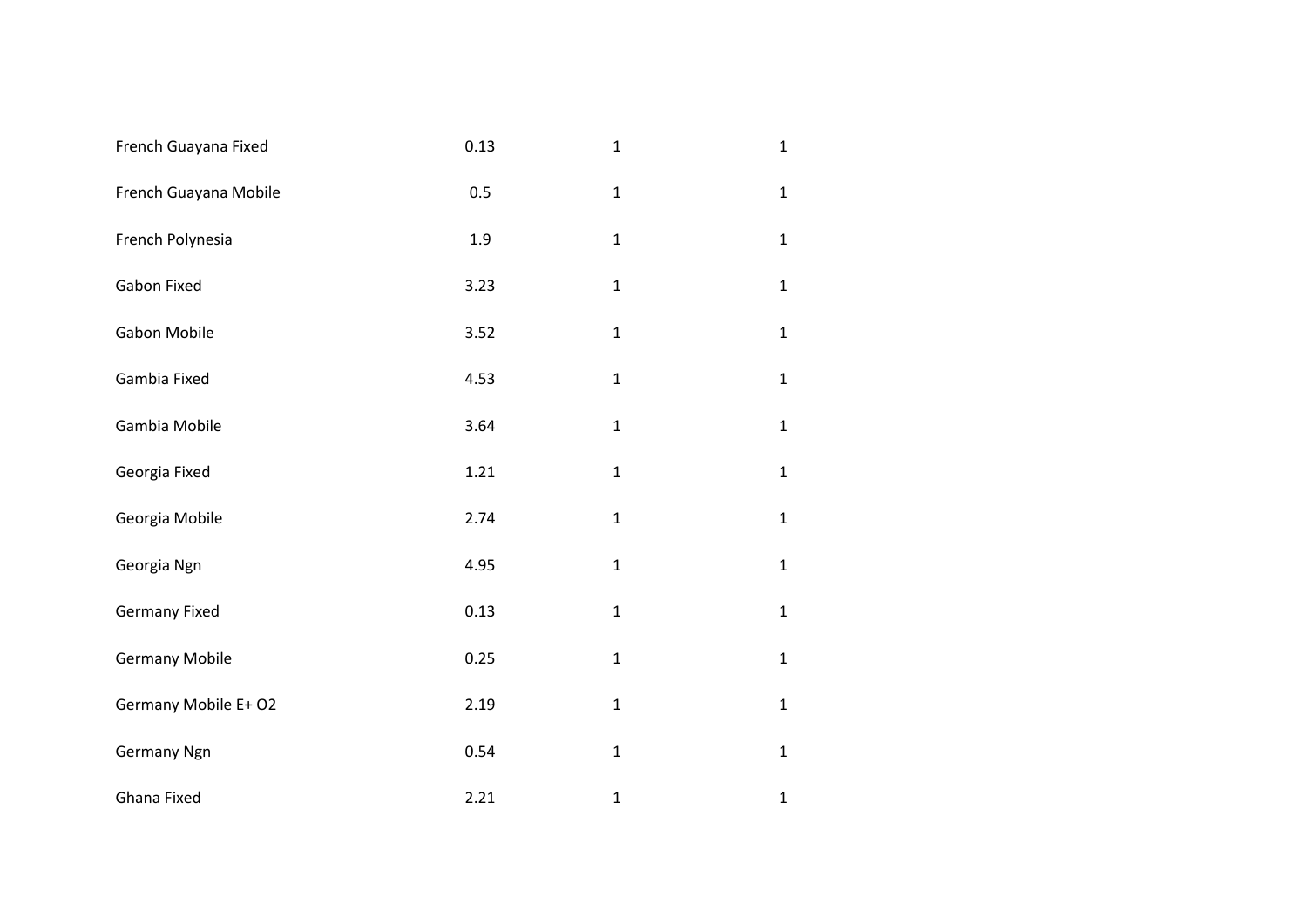| French Guayana Fixed  | 0.13 | $\mathbf{1}$ | $\mathbf{1}$ |
|-----------------------|------|--------------|--------------|
| French Guayana Mobile | 0.5  | $\mathbf{1}$ | $\mathbf{1}$ |
| French Polynesia      | 1.9  | $\mathbf{1}$ | $\mathbf{1}$ |
| Gabon Fixed           | 3.23 | $\mathbf{1}$ | $\mathbf{1}$ |
| Gabon Mobile          | 3.52 | $\mathbf{1}$ | $\mathbf{1}$ |
| Gambia Fixed          | 4.53 | $\mathbf{1}$ | $\mathbf{1}$ |
| Gambia Mobile         | 3.64 | $\mathbf{1}$ | $\mathbf{1}$ |
| Georgia Fixed         | 1.21 | $\mathbf{1}$ | $\mathbf{1}$ |
| Georgia Mobile        | 2.74 | $\mathbf{1}$ | $\mathbf{1}$ |
| Georgia Ngn           | 4.95 | $\mathbf{1}$ | $\mathbf{1}$ |
| <b>Germany Fixed</b>  | 0.13 | $\mathbf{1}$ | $\mathbf{1}$ |
| <b>Germany Mobile</b> | 0.25 | $\mathbf{1}$ | $\mathbf{1}$ |
| Germany Mobile E+ O2  | 2.19 | $\mathbf 1$  | $\mathbf{1}$ |
| <b>Germany Ngn</b>    | 0.54 | $\mathbf{1}$ | $\mathbf{1}$ |
| Ghana Fixed           | 2.21 | $\mathbf{1}$ | $\mathbf{1}$ |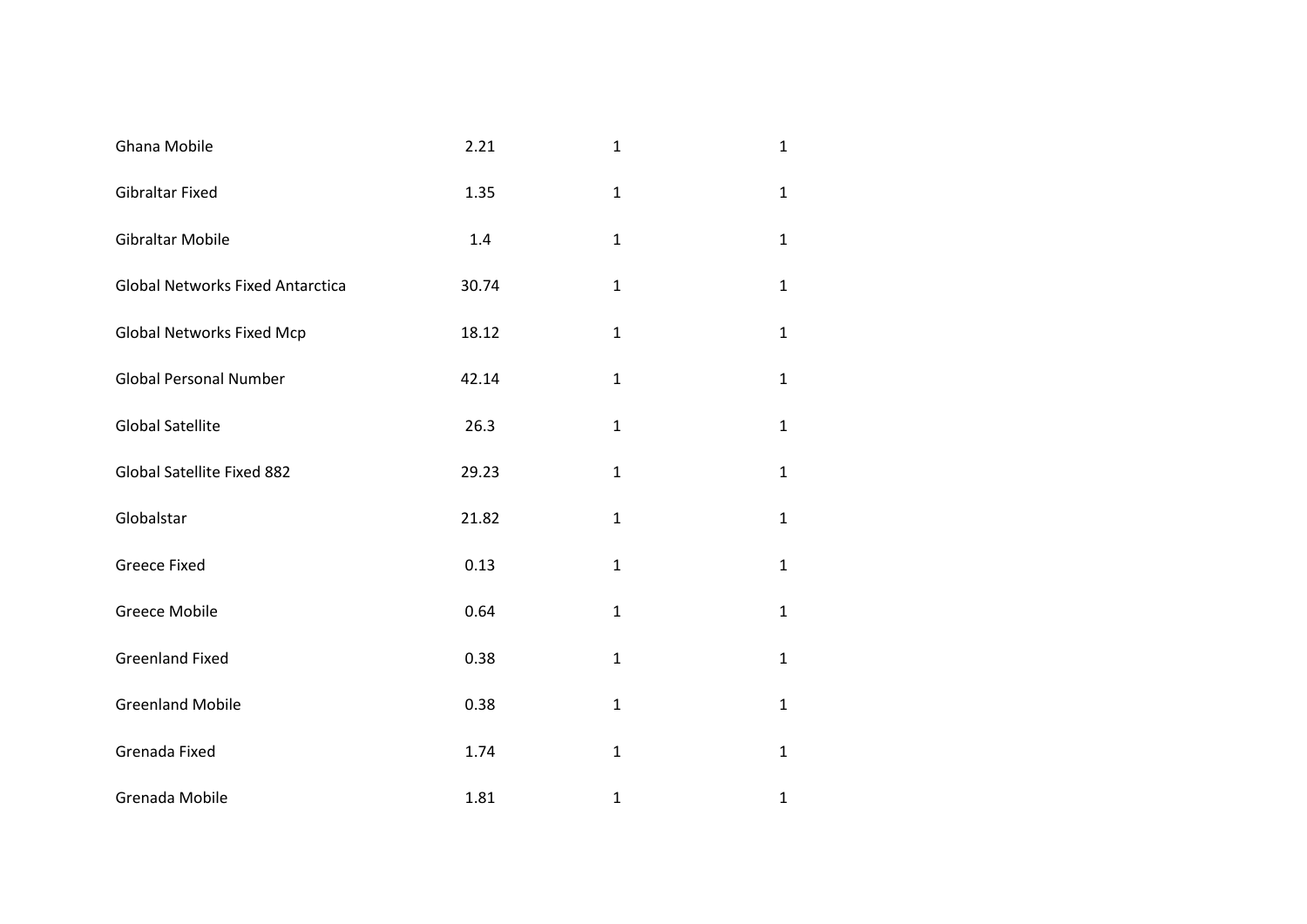| Ghana Mobile                            | 2.21  | $\mathbf{1}$ | $\mathbf{1}$ |
|-----------------------------------------|-------|--------------|--------------|
| <b>Gibraltar Fixed</b>                  | 1.35  | $\mathbf{1}$ | $\mathbf{1}$ |
| Gibraltar Mobile                        | 1.4   | $\mathbf{1}$ | $\mathbf{1}$ |
| <b>Global Networks Fixed Antarctica</b> | 30.74 | $\mathbf{1}$ | $\mathbf{1}$ |
| <b>Global Networks Fixed Mcp</b>        | 18.12 | $\mathbf{1}$ | $\mathbf{1}$ |
| <b>Global Personal Number</b>           | 42.14 | $\mathbf{1}$ | $\mathbf{1}$ |
| <b>Global Satellite</b>                 | 26.3  | $\mathbf{1}$ | $\mathbf{1}$ |
| Global Satellite Fixed 882              | 29.23 | $\mathbf{1}$ | $\mathbf{1}$ |
| Globalstar                              | 21.82 | $\mathbf{1}$ | $\mathbf{1}$ |
| <b>Greece Fixed</b>                     | 0.13  | $\mathbf{1}$ | $\mathbf{1}$ |
| <b>Greece Mobile</b>                    | 0.64  | $\mathbf{1}$ | $\mathbf{1}$ |
| <b>Greenland Fixed</b>                  | 0.38  | $\mathbf{1}$ | $\mathbf{1}$ |
| <b>Greenland Mobile</b>                 | 0.38  | $\mathbf{1}$ | $\mathbf{1}$ |
| Grenada Fixed                           | 1.74  | $\mathbf{1}$ | $\mathbf{1}$ |
| Grenada Mobile                          | 1.81  | $\mathbf{1}$ | $\mathbf{1}$ |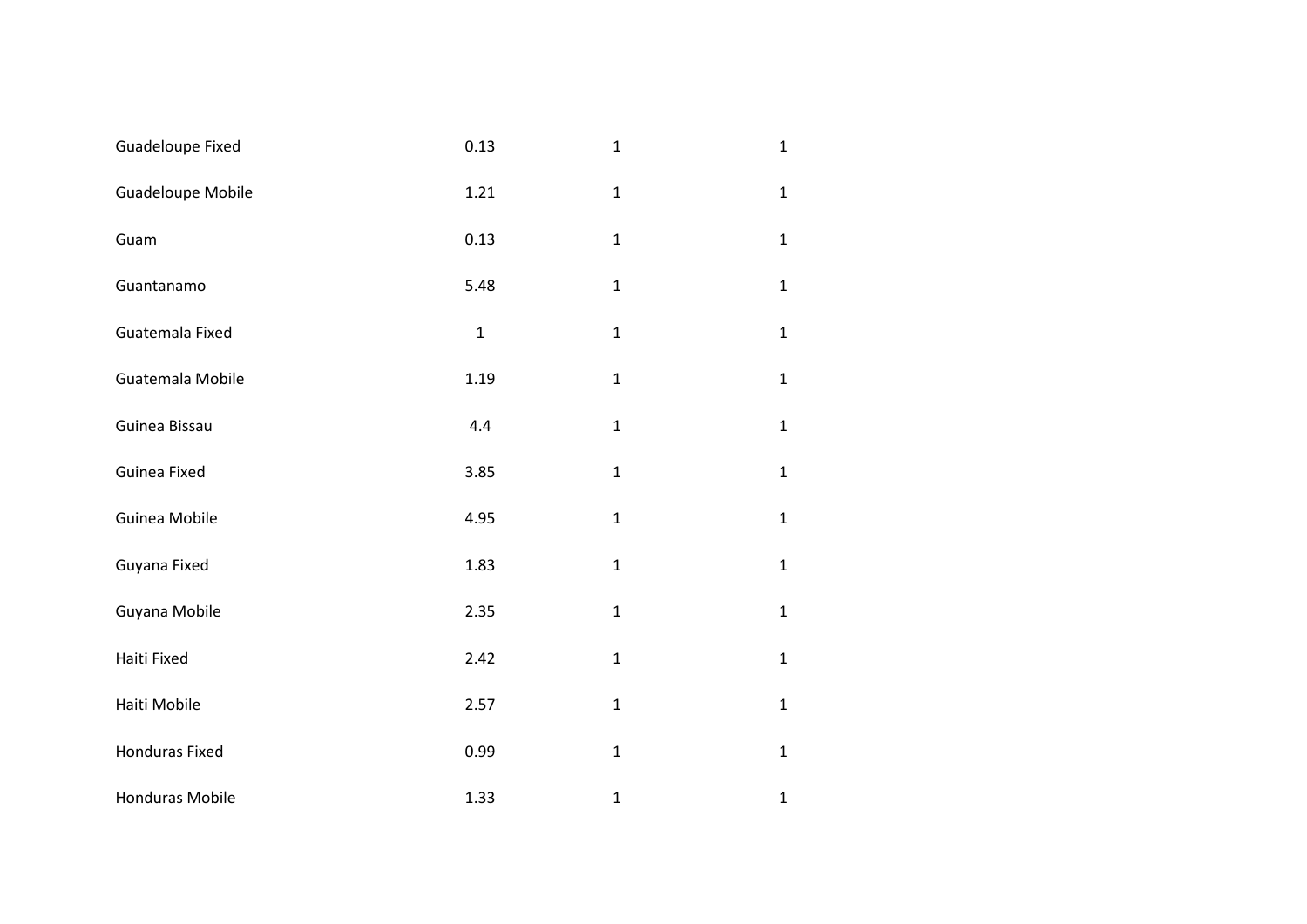| Guadeloupe Fixed       | 0.13         | $\mathbf{1}$ | $\mathbf 1$  |
|------------------------|--------------|--------------|--------------|
| Guadeloupe Mobile      | 1.21         | $\mathbf{1}$ | $\mathbf 1$  |
| Guam                   | 0.13         | $\mathbf{1}$ | $\mathbf 1$  |
| Guantanamo             | 5.48         | $\mathbf 1$  | $\mathbf 1$  |
| Guatemala Fixed        | $\mathbf{1}$ | $\mathbf{1}$ | $\mathbf{1}$ |
| Guatemala Mobile       | 1.19         | $\mathbf{1}$ | $\mathbf 1$  |
| Guinea Bissau          | 4.4          | $\mathbf{1}$ | $\mathbf 1$  |
| Guinea Fixed           | 3.85         | $\mathbf 1$  | $\mathbf 1$  |
| Guinea Mobile          | 4.95         | $\mathbf{1}$ | $\mathbf{1}$ |
| Guyana Fixed           | 1.83         | $\mathbf{1}$ | $\mathbf 1$  |
| Guyana Mobile          | 2.35         | $\mathbf{1}$ | $\mathbf 1$  |
| Haiti Fixed            | 2.42         | $\mathbf{1}$ | $\mathbf 1$  |
| Haiti Mobile           | 2.57         | $\mathbf{1}$ | $\mathbf 1$  |
| <b>Honduras Fixed</b>  | 0.99         | $\mathbf 1$  | $\mathbf 1$  |
| <b>Honduras Mobile</b> | 1.33         | $\mathbf{1}$ | $\mathbf 1$  |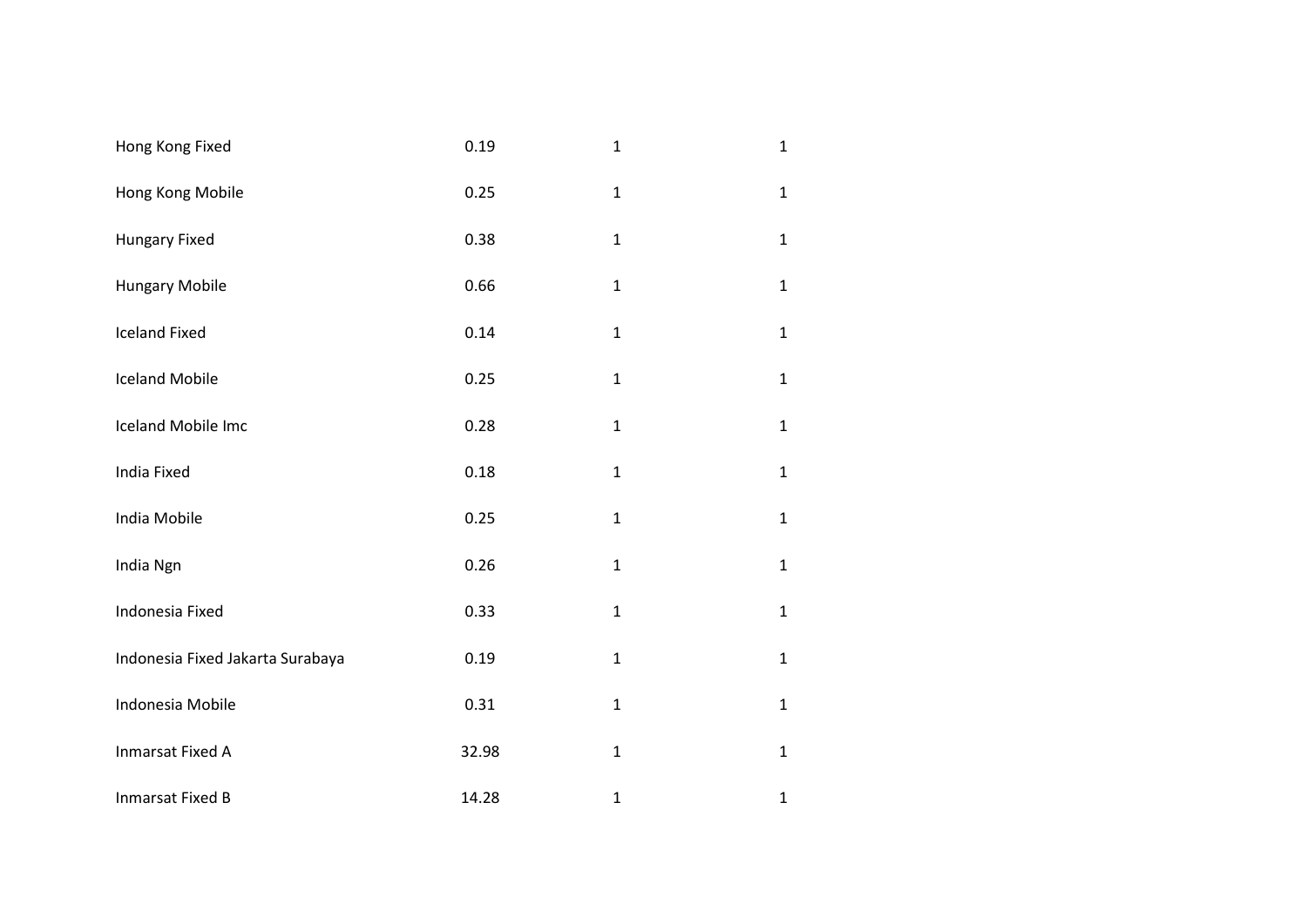| Hong Kong Fixed                  | 0.19  | $\mathbf{1}$ | $\mathbf{1}$ |
|----------------------------------|-------|--------------|--------------|
| Hong Kong Mobile                 | 0.25  | $\mathbf 1$  | $\mathbf{1}$ |
| Hungary Fixed                    | 0.38  | $\mathbf 1$  | $\mathbf{1}$ |
| <b>Hungary Mobile</b>            | 0.66  | $\mathbf{1}$ | $\mathbf{1}$ |
| <b>Iceland Fixed</b>             | 0.14  | $\mathbf{1}$ | $\mathbf{1}$ |
| <b>Iceland Mobile</b>            | 0.25  | $\mathbf{1}$ | $\mathbf{1}$ |
| Iceland Mobile Imc               | 0.28  | $\mathbf{1}$ | $\mathbf{1}$ |
| <b>India Fixed</b>               | 0.18  | $\mathbf 1$  | $\mathbf{1}$ |
| India Mobile                     | 0.25  | $\mathbf 1$  | $\mathbf{1}$ |
| India Ngn                        | 0.26  | $\mathbf 1$  | $\mathbf{1}$ |
| Indonesia Fixed                  | 0.33  | $\mathbf{1}$ | $\mathbf{1}$ |
| Indonesia Fixed Jakarta Surabaya | 0.19  | $\mathbf{1}$ | $\mathbf{1}$ |
| Indonesia Mobile                 | 0.31  | $\mathbf{1}$ | $\mathbf{1}$ |
| <b>Inmarsat Fixed A</b>          | 32.98 | $\mathbf{1}$ | $\mathbf{1}$ |
| <b>Inmarsat Fixed B</b>          | 14.28 | $\mathbf{1}$ | $\mathbf 1$  |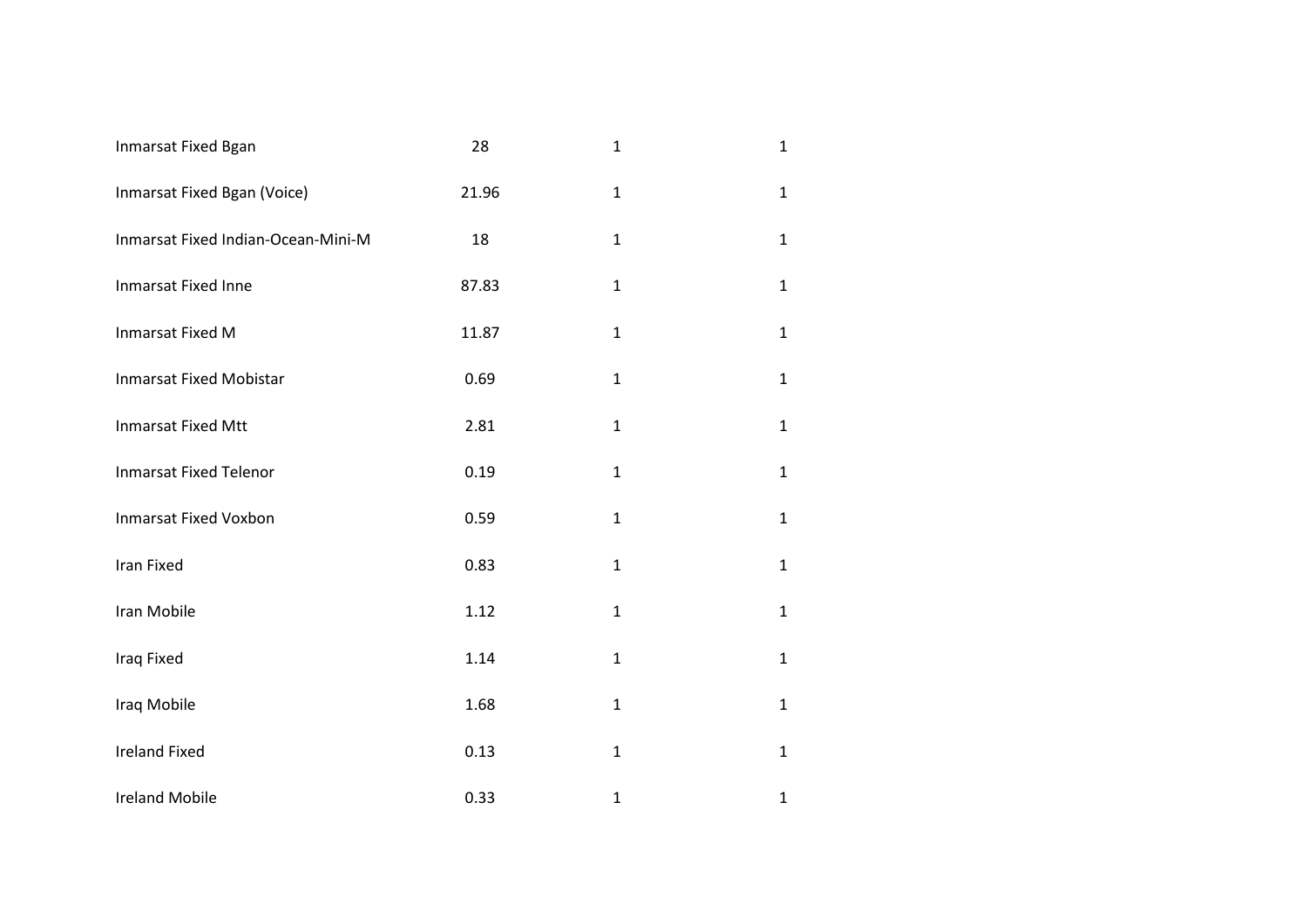| Inmarsat Fixed Bgan                | 28    | $\mathbf{1}$ | $\mathbf 1$  |
|------------------------------------|-------|--------------|--------------|
| Inmarsat Fixed Bgan (Voice)        | 21.96 | $\mathbf 1$  | $\mathbf{1}$ |
| Inmarsat Fixed Indian-Ocean-Mini-M | 18    | $\mathbf 1$  | $\mathbf{1}$ |
| Inmarsat Fixed Inne                | 87.83 | $\mathbf{1}$ | $\mathbf{1}$ |
| <b>Inmarsat Fixed M</b>            | 11.87 | $\mathbf{1}$ | $\mathbf{1}$ |
| <b>Inmarsat Fixed Mobistar</b>     | 0.69  | $\mathbf 1$  | $\mathbf{1}$ |
| <b>Inmarsat Fixed Mtt</b>          | 2.81  | $\mathbf{1}$ | $\mathbf{1}$ |
| <b>Inmarsat Fixed Telenor</b>      | 0.19  | $\mathbf 1$  | $\mathbf{1}$ |
| <b>Inmarsat Fixed Voxbon</b>       | 0.59  | $\mathbf{1}$ | $\mathbf{1}$ |
| Iran Fixed                         | 0.83  | $\mathbf 1$  | $\mathbf 1$  |
| Iran Mobile                        | 1.12  | $\mathbf 1$  | $\mathbf{1}$ |
| Iraq Fixed                         | 1.14  | $\mathbf{1}$ | $\mathbf{1}$ |
| Iraq Mobile                        | 1.68  | $\mathbf 1$  | $\mathbf{1}$ |
| <b>Ireland Fixed</b>               | 0.13  | $\mathbf 1$  | $\mathbf{1}$ |
| <b>Ireland Mobile</b>              | 0.33  | $\mathbf{1}$ | $\mathbf{1}$ |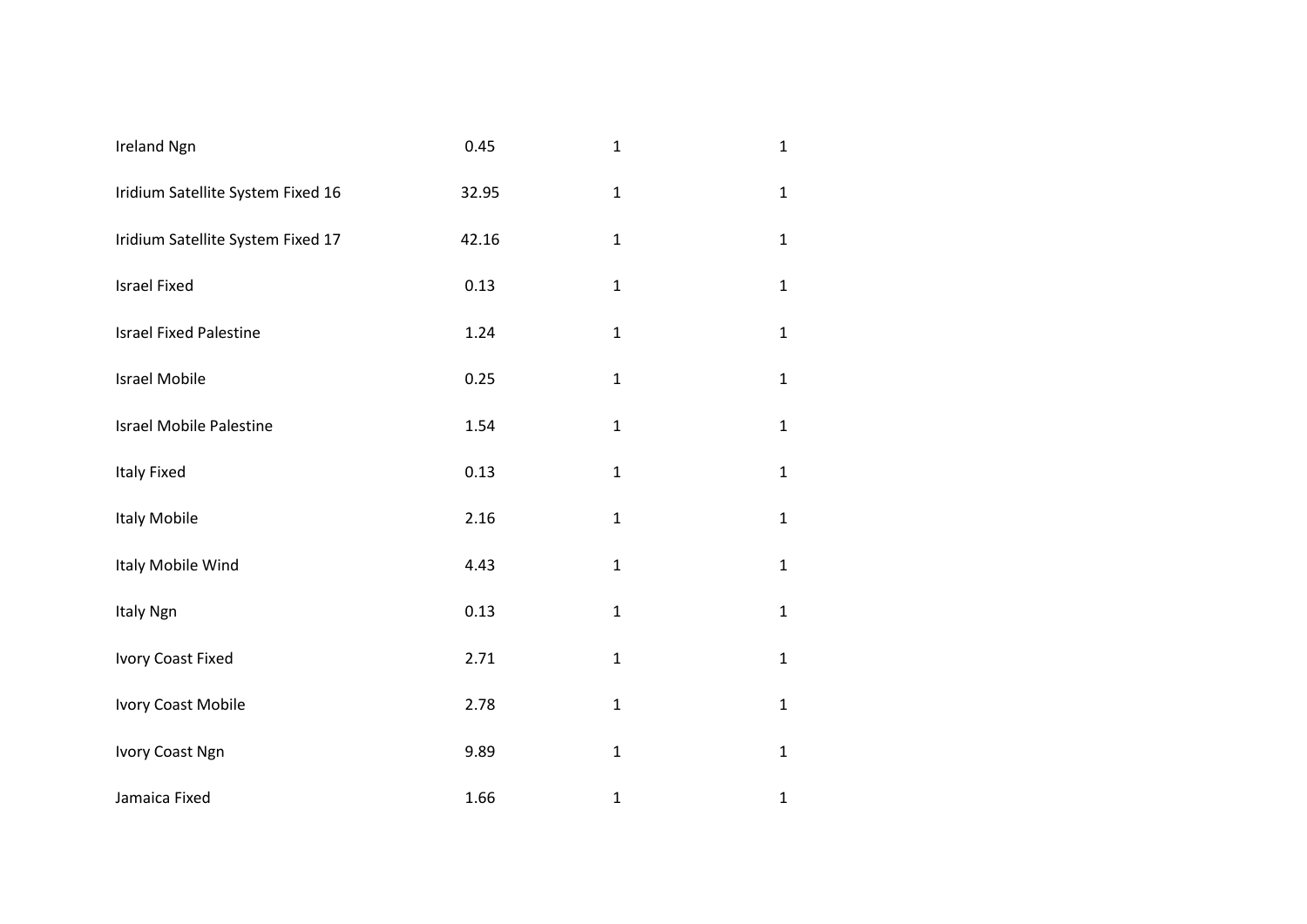| <b>Ireland Ngn</b>                | 0.45  | $\mathbf{1}$ | $\mathbf{1}$ |
|-----------------------------------|-------|--------------|--------------|
| Iridium Satellite System Fixed 16 | 32.95 | $\mathbf 1$  | $\mathbf{1}$ |
| Iridium Satellite System Fixed 17 | 42.16 | $\mathbf{1}$ | $\mathbf{1}$ |
| <b>Israel Fixed</b>               | 0.13  | $\mathbf{1}$ | $\mathbf{1}$ |
| <b>Israel Fixed Palestine</b>     | 1.24  | $\mathbf{1}$ | $\mathbf{1}$ |
| <b>Israel Mobile</b>              | 0.25  | $\mathbf{1}$ | $\mathbf{1}$ |
| <b>Israel Mobile Palestine</b>    | 1.54  | $\mathbf{1}$ | $\mathbf{1}$ |
| <b>Italy Fixed</b>                | 0.13  | $\mathbf{1}$ | $\mathbf{1}$ |
| Italy Mobile                      | 2.16  | $\mathbf{1}$ | $\mathbf{1}$ |
| Italy Mobile Wind                 | 4.43  | $\mathbf{1}$ | $\mathbf{1}$ |
| Italy Ngn                         | 0.13  | $\mathbf{1}$ | $\mathbf{1}$ |
| Ivory Coast Fixed                 | 2.71  | $\mathbf{1}$ | $\mathbf{1}$ |
| Ivory Coast Mobile                | 2.78  | $\mathbf{1}$ | $\mathbf{1}$ |
| Ivory Coast Ngn                   | 9.89  | $\mathbf{1}$ | $\mathbf{1}$ |
| Jamaica Fixed                     | 1.66  | $\mathbf 1$  | $\mathbf{1}$ |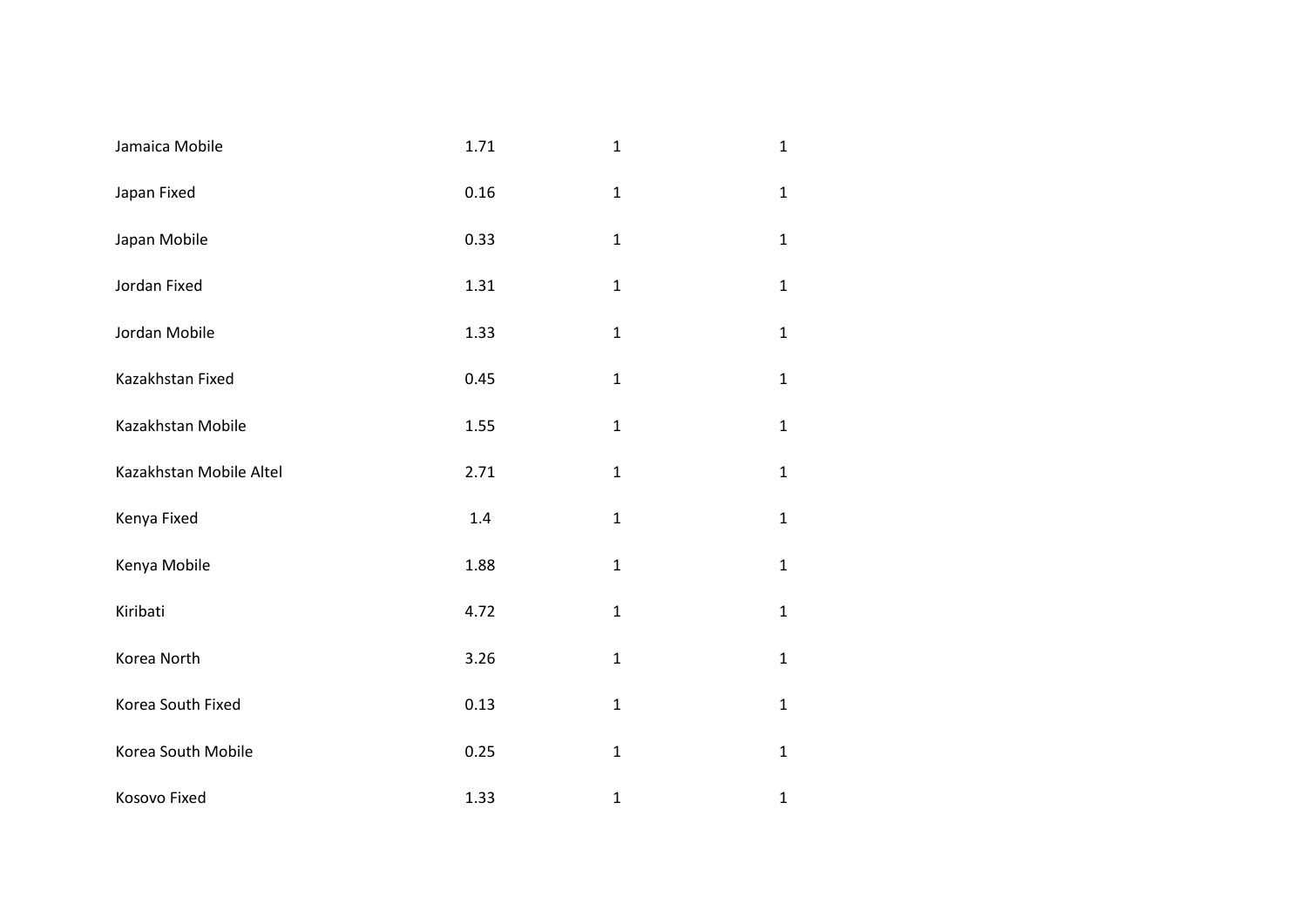| Jamaica Mobile          | 1.71 | $\mathbf{1}$ | $\mathbf{1}$ |
|-------------------------|------|--------------|--------------|
| Japan Fixed             | 0.16 | $\mathbf{1}$ | $\mathbf{1}$ |
| Japan Mobile            | 0.33 | $\mathbf 1$  | $\mathbf{1}$ |
| Jordan Fixed            | 1.31 | $\mathbf 1$  | $\mathbf{1}$ |
| Jordan Mobile           | 1.33 | $\mathbf{1}$ | $\mathbf{1}$ |
| Kazakhstan Fixed        | 0.45 | $\mathbf{1}$ | $\mathbf{1}$ |
| Kazakhstan Mobile       | 1.55 | $\mathbf{1}$ | $\mathbf{1}$ |
| Kazakhstan Mobile Altel | 2.71 | $\mathbf 1$  | $\mathbf{1}$ |
| Kenya Fixed             | 1.4  | $\mathbf{1}$ | $\mathbf{1}$ |
| Kenya Mobile            | 1.88 | $\mathbf 1$  | $\mathbf{1}$ |
| Kiribati                | 4.72 | $\mathbf 1$  | $\mathbf{1}$ |
| Korea North             | 3.26 | $\mathbf{1}$ | $\mathbf{1}$ |
| Korea South Fixed       | 0.13 | $\mathbf{1}$ | $\mathbf{1}$ |
| Korea South Mobile      | 0.25 | $\mathbf{1}$ | $\mathbf{1}$ |
| Kosovo Fixed            | 1.33 | $\mathbf{1}$ | $\mathbf 1$  |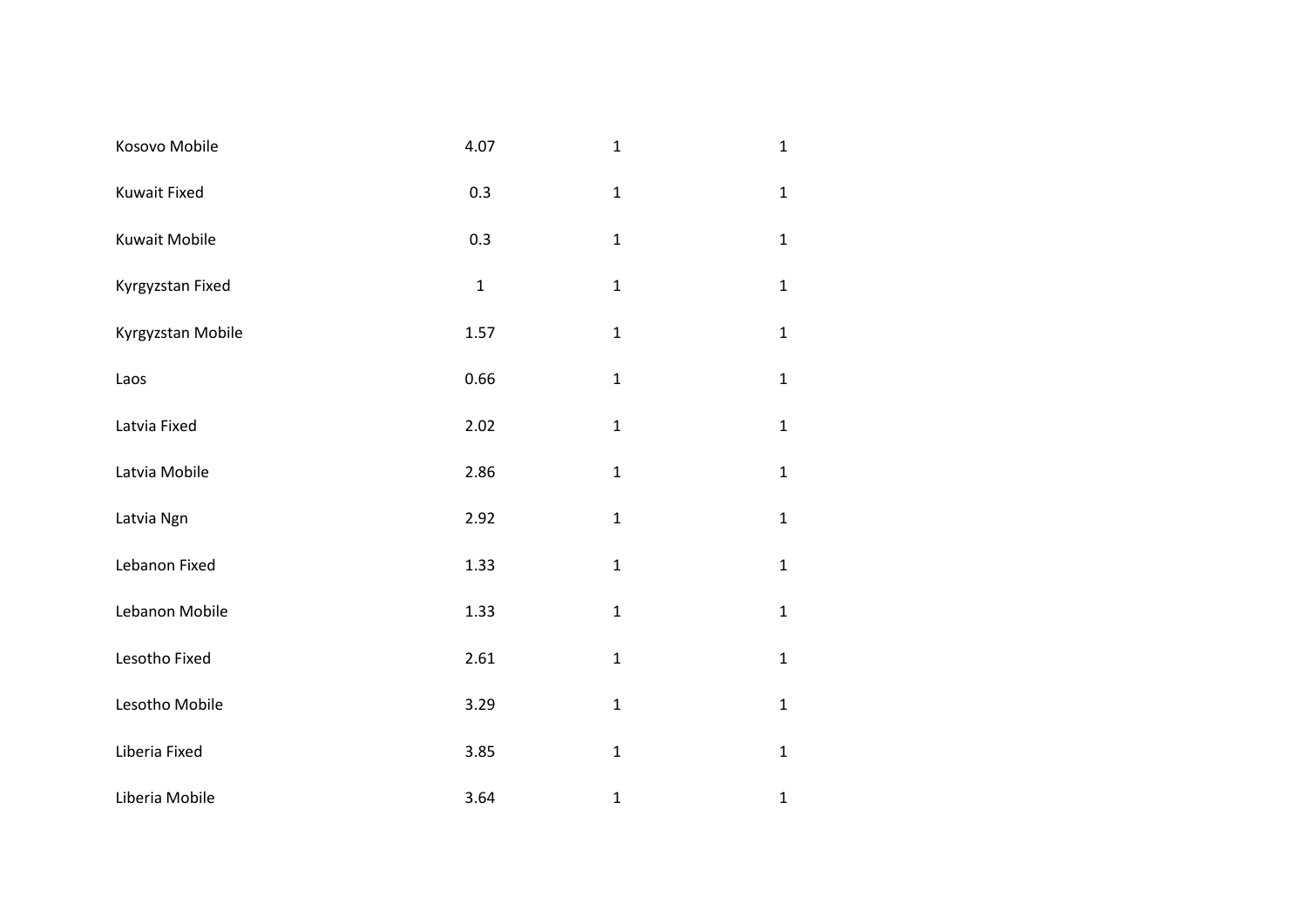| Kosovo Mobile       | 4.07        | $\mathbf{1}$ | $\mathbf{1}$ |
|---------------------|-------------|--------------|--------------|
| <b>Kuwait Fixed</b> | 0.3         | $\mathbf{1}$ | $\mathbf{1}$ |
| Kuwait Mobile       | 0.3         | $\mathbf 1$  | $\mathbf{1}$ |
| Kyrgyzstan Fixed    | $\mathbf 1$ | $\mathbf{1}$ | $\mathbf{1}$ |
| Kyrgyzstan Mobile   | 1.57        | $\mathbf 1$  | $\mathbf{1}$ |
| Laos                | 0.66        | $\mathbf 1$  | $\mathbf{1}$ |
| Latvia Fixed        | 2.02        | $\mathbf{1}$ | $\mathbf{1}$ |
| Latvia Mobile       | 2.86        | $\mathbf 1$  | $\mathbf{1}$ |
| Latvia Ngn          | 2.92        | $\mathbf 1$  | $\mathbf{1}$ |
| Lebanon Fixed       | 1.33        | $\mathbf 1$  | $\mathbf{1}$ |
| Lebanon Mobile      | 1.33        | $\mathbf{1}$ | $\mathbf{1}$ |
| Lesotho Fixed       | 2.61        | $\mathbf{1}$ | $\mathbf{1}$ |
| Lesotho Mobile      | 3.29        | $\mathbf 1$  | $\mathbf{1}$ |
| Liberia Fixed       | 3.85        | $\mathbf 1$  | $\mathbf{1}$ |
| Liberia Mobile      | 3.64        | $\mathbf{1}$ | $\mathbf 1$  |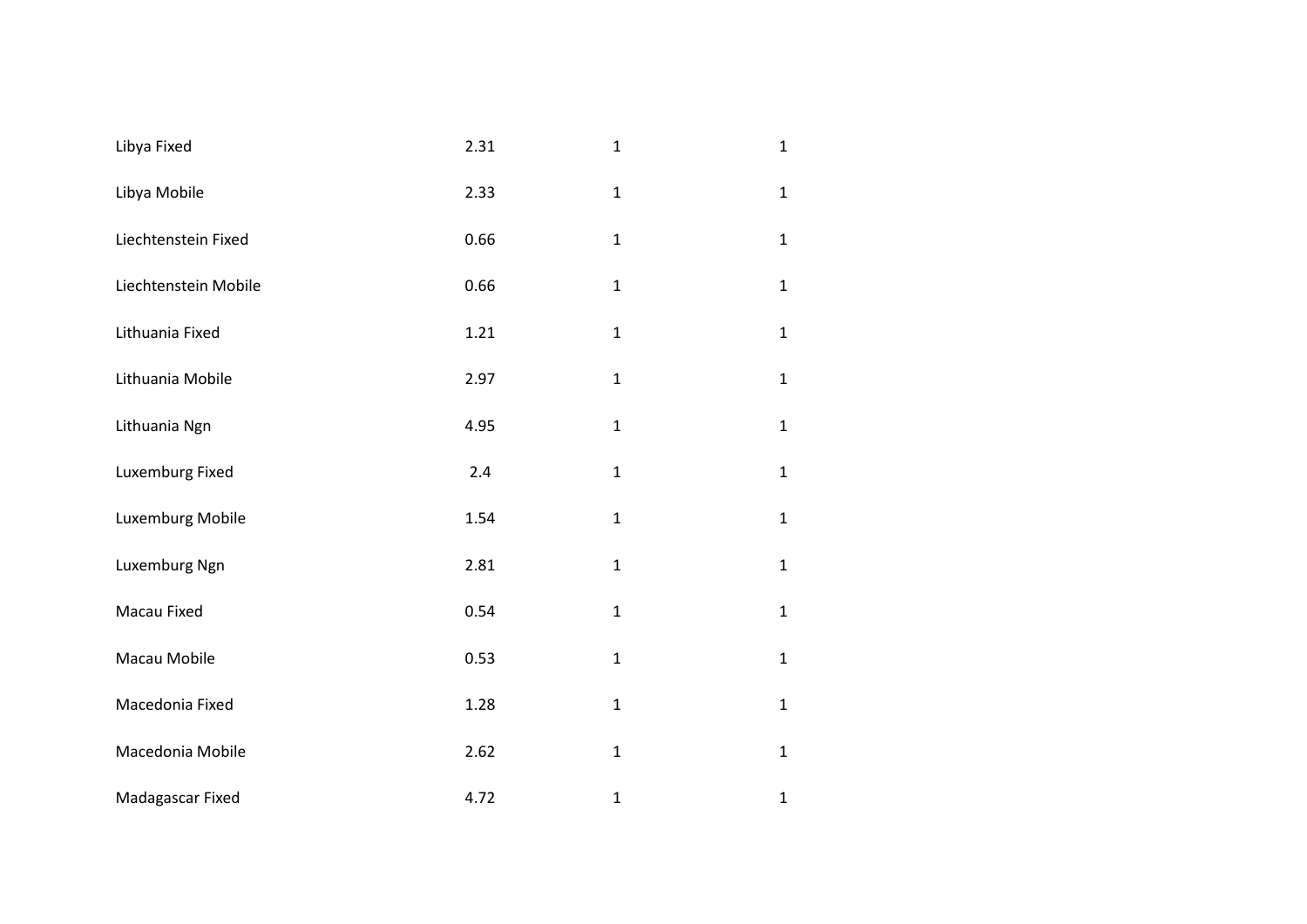| Libya Fixed          | 2.31 | $\mathbf{1}$ | $\mathbf{1}$ |
|----------------------|------|--------------|--------------|
| Libya Mobile         | 2.33 | $\mathbf 1$  | $\mathbf{1}$ |
| Liechtenstein Fixed  | 0.66 | $\mathbf{1}$ | $\mathbf{1}$ |
| Liechtenstein Mobile | 0.66 | $\mathbf 1$  | $\mathbf{1}$ |
| Lithuania Fixed      | 1.21 | $\mathbf{1}$ | $\mathbf{1}$ |
| Lithuania Mobile     | 2.97 | $\mathbf{1}$ | $\mathbf{1}$ |
| Lithuania Ngn        | 4.95 | $\mathbf{1}$ | $\mathbf{1}$ |
| Luxemburg Fixed      | 2.4  | $\mathbf 1$  | $\mathbf{1}$ |
| Luxemburg Mobile     | 1.54 | $\mathbf{1}$ | $\mathbf{1}$ |
| Luxemburg Ngn        | 2.81 | $\mathbf 1$  | $\mathbf{1}$ |
| Macau Fixed          | 0.54 | $\mathbf 1$  | $\mathbf{1}$ |
| Macau Mobile         | 0.53 | $\mathbf{1}$ | $\mathbf{1}$ |
| Macedonia Fixed      | 1.28 | $\mathbf 1$  | $\mathbf{1}$ |
| Macedonia Mobile     | 2.62 | $\mathbf{1}$ | $\mathbf{1}$ |
| Madagascar Fixed     | 4.72 | $\mathbf{1}$ | $\mathbf 1$  |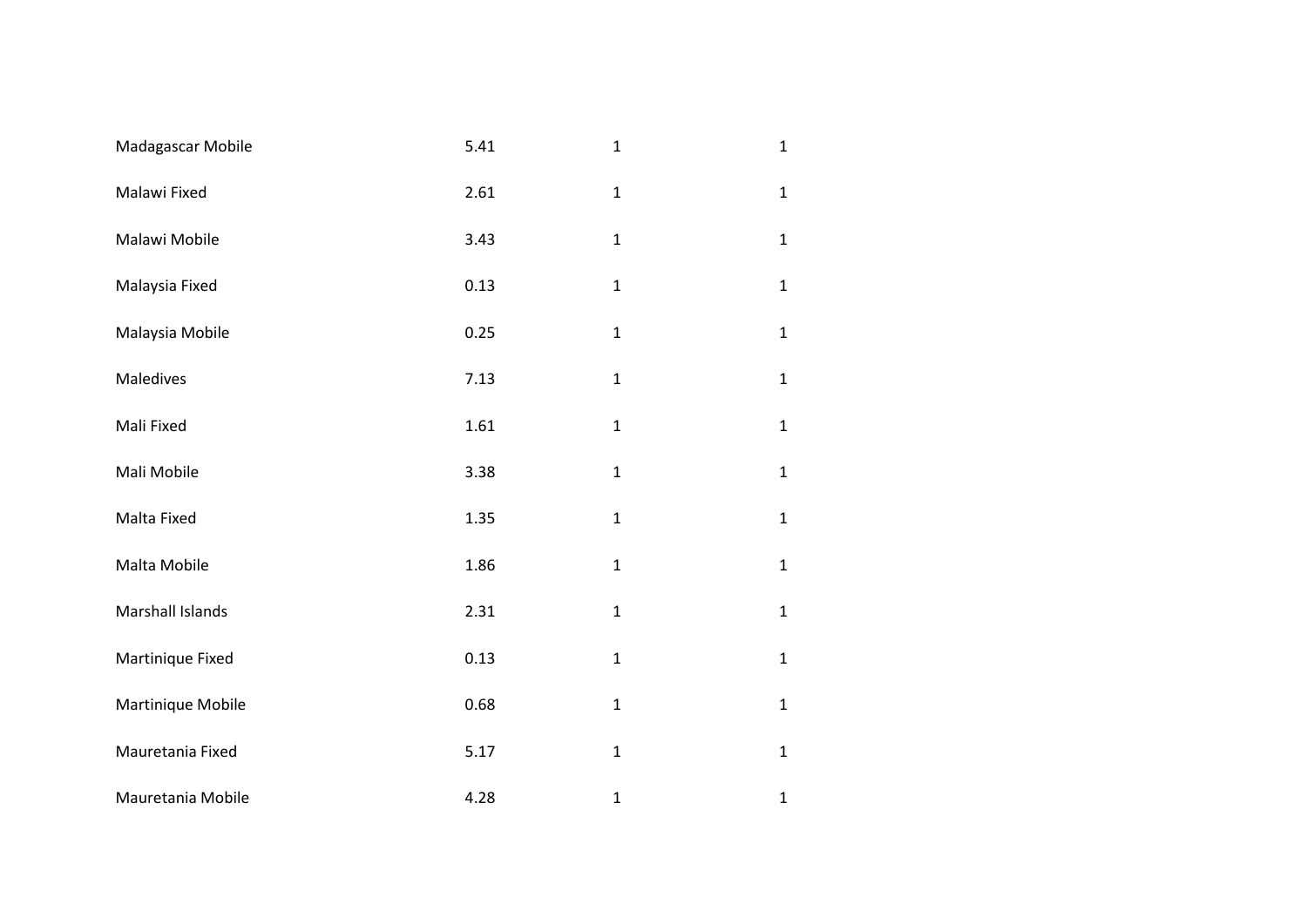| Madagascar Mobile       | 5.41 | $\mathbf{1}$ | $\mathbf{1}$ |
|-------------------------|------|--------------|--------------|
| Malawi Fixed            | 2.61 | $\mathbf{1}$ | $\mathbf{1}$ |
| Malawi Mobile           | 3.43 | $\mathbf 1$  | $\mathbf{1}$ |
| Malaysia Fixed          | 0.13 | $\mathbf{1}$ | $\mathbf{1}$ |
| Malaysia Mobile         | 0.25 | $\mathbf 1$  | $\mathbf{1}$ |
| Maledives               | 7.13 | $\mathbf 1$  | $\mathbf{1}$ |
| Mali Fixed              | 1.61 | $\mathbf{1}$ | $\mathbf{1}$ |
| Mali Mobile             | 3.38 | $\mathbf 1$  | $\mathbf{1}$ |
| Malta Fixed             | 1.35 | $\mathbf 1$  | $\mathbf{1}$ |
| Malta Mobile            | 1.86 | $\mathbf 1$  | $\mathbf{1}$ |
| <b>Marshall Islands</b> | 2.31 | $\mathbf{1}$ | $\mathbf{1}$ |
| Martinique Fixed        | 0.13 | $\mathbf{1}$ | $\mathbf{1}$ |
| Martinique Mobile       | 0.68 | $\mathbf 1$  | $\mathbf{1}$ |
| Mauretania Fixed        | 5.17 | $\mathbf 1$  | $\mathbf{1}$ |
| Mauretania Mobile       | 4.28 | $\mathbf{1}$ | $\mathbf 1$  |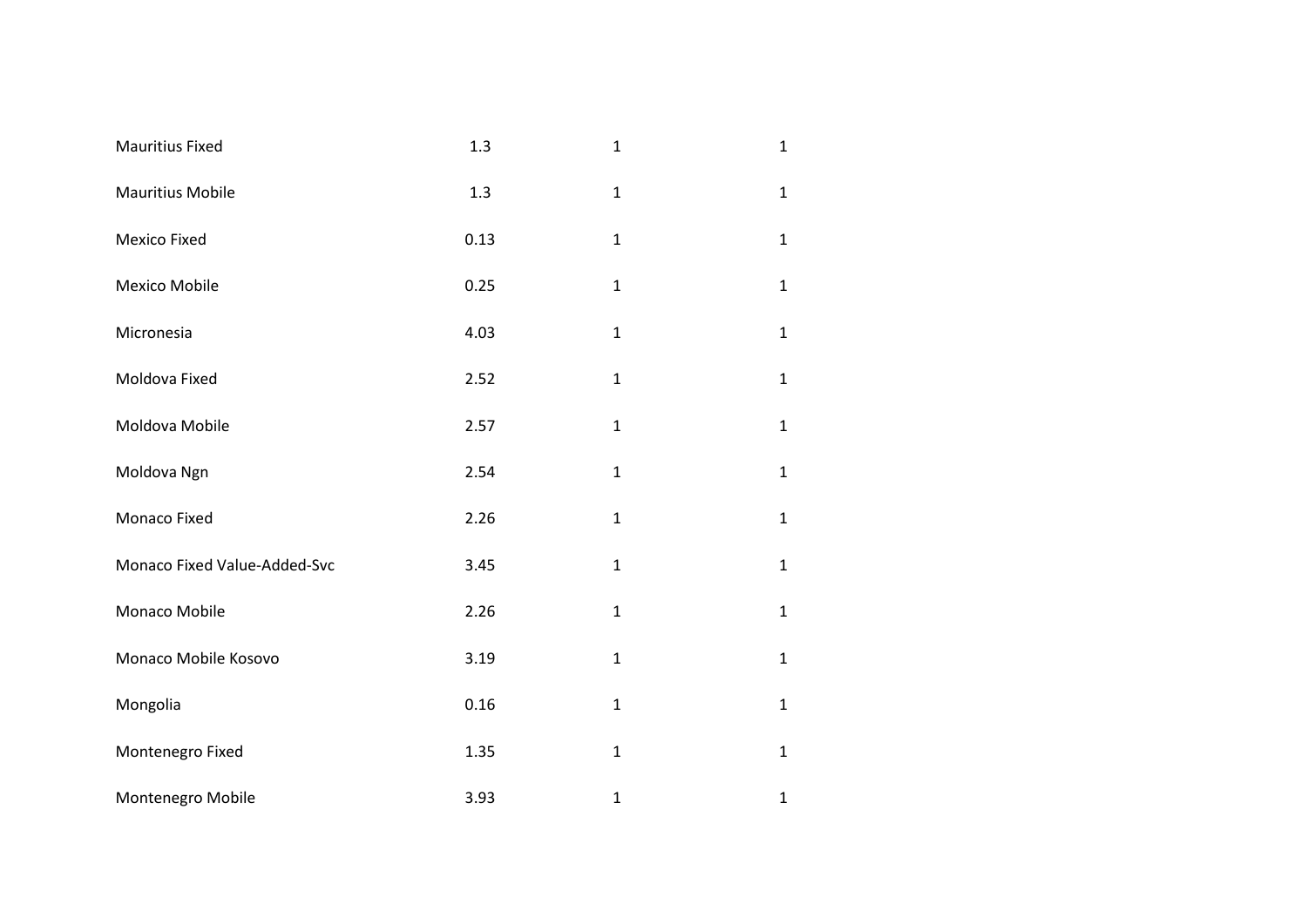| <b>Mauritius Fixed</b>       | 1.3  | $\mathbf{1}$ | $\mathbf{1}$ |
|------------------------------|------|--------------|--------------|
| <b>Mauritius Mobile</b>      | 1.3  | $\mathbf{1}$ | $\mathbf{1}$ |
| Mexico Fixed                 | 0.13 | $\mathbf{1}$ | $\mathbf{1}$ |
| Mexico Mobile                | 0.25 | $\mathbf 1$  | $\mathbf{1}$ |
| Micronesia                   | 4.03 | $\mathbf{1}$ | $\mathbf{1}$ |
| Moldova Fixed                | 2.52 | $\mathbf{1}$ | $\mathbf{1}$ |
| Moldova Mobile               | 2.57 | $\mathbf{1}$ | $\mathbf{1}$ |
| Moldova Ngn                  | 2.54 | $\mathbf{1}$ | $\mathbf{1}$ |
| Monaco Fixed                 | 2.26 | $\mathbf{1}$ | $\mathbf{1}$ |
| Monaco Fixed Value-Added-Svc | 3.45 | $\mathbf{1}$ | $\mathbf{1}$ |
| Monaco Mobile                | 2.26 | $\mathbf{1}$ | $\mathbf{1}$ |
| Monaco Mobile Kosovo         | 3.19 | $\mathbf{1}$ | $\mathbf{1}$ |
| Mongolia                     | 0.16 | $\mathbf{1}$ | $\mathbf{1}$ |
| Montenegro Fixed             | 1.35 | $\mathbf 1$  | $\mathbf{1}$ |
| Montenegro Mobile            | 3.93 | $\mathbf{1}$ | $\mathbf{1}$ |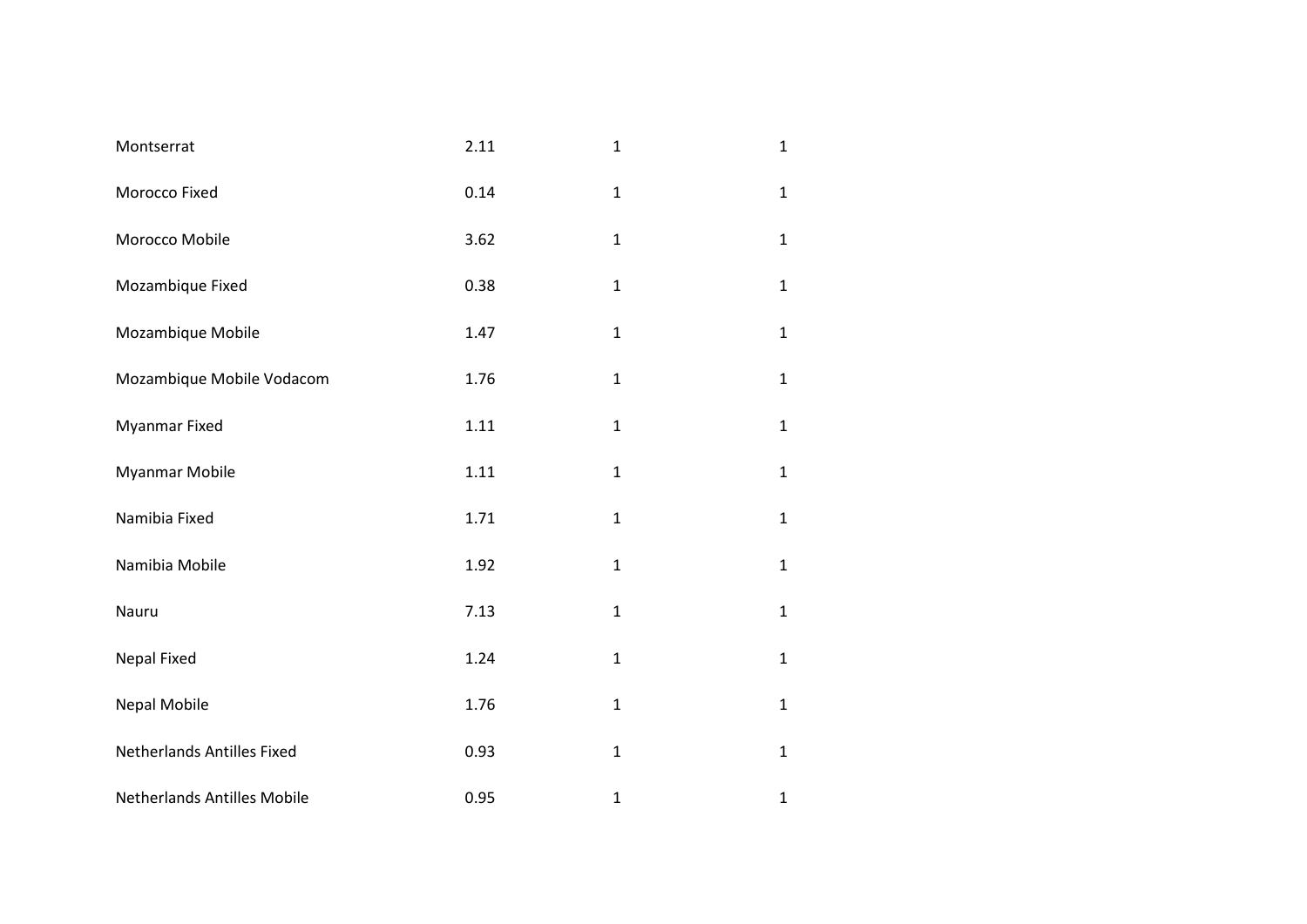| Montserrat                         | 2.11 | $\mathbf{1}$ | $\mathbf{1}$ |
|------------------------------------|------|--------------|--------------|
| Morocco Fixed                      | 0.14 | $\mathbf{1}$ | $\mathbf{1}$ |
| Morocco Mobile                     | 3.62 | $\mathbf{1}$ | $\mathbf{1}$ |
| Mozambique Fixed                   | 0.38 | $\mathbf 1$  | $\mathbf{1}$ |
| Mozambique Mobile                  | 1.47 | $\mathbf{1}$ | $\mathbf{1}$ |
| Mozambique Mobile Vodacom          | 1.76 | $\mathbf{1}$ | $\mathbf{1}$ |
| <b>Myanmar Fixed</b>               | 1.11 | $\mathbf{1}$ | $\mathbf{1}$ |
| Myanmar Mobile                     | 1.11 | $\mathbf{1}$ | $\mathbf{1}$ |
| Namibia Fixed                      | 1.71 | $\mathbf{1}$ | $\mathbf{1}$ |
| Namibia Mobile                     | 1.92 | $\mathbf{1}$ | $\mathbf{1}$ |
| Nauru                              | 7.13 | $\mathbf{1}$ | $\mathbf{1}$ |
| <b>Nepal Fixed</b>                 | 1.24 | $\mathbf{1}$ | $\mathbf{1}$ |
| Nepal Mobile                       | 1.76 | $\mathbf{1}$ | $\mathbf{1}$ |
| Netherlands Antilles Fixed         | 0.93 | $\mathbf{1}$ | $\mathbf{1}$ |
| <b>Netherlands Antilles Mobile</b> | 0.95 | $\mathbf{1}$ | $\mathbf{1}$ |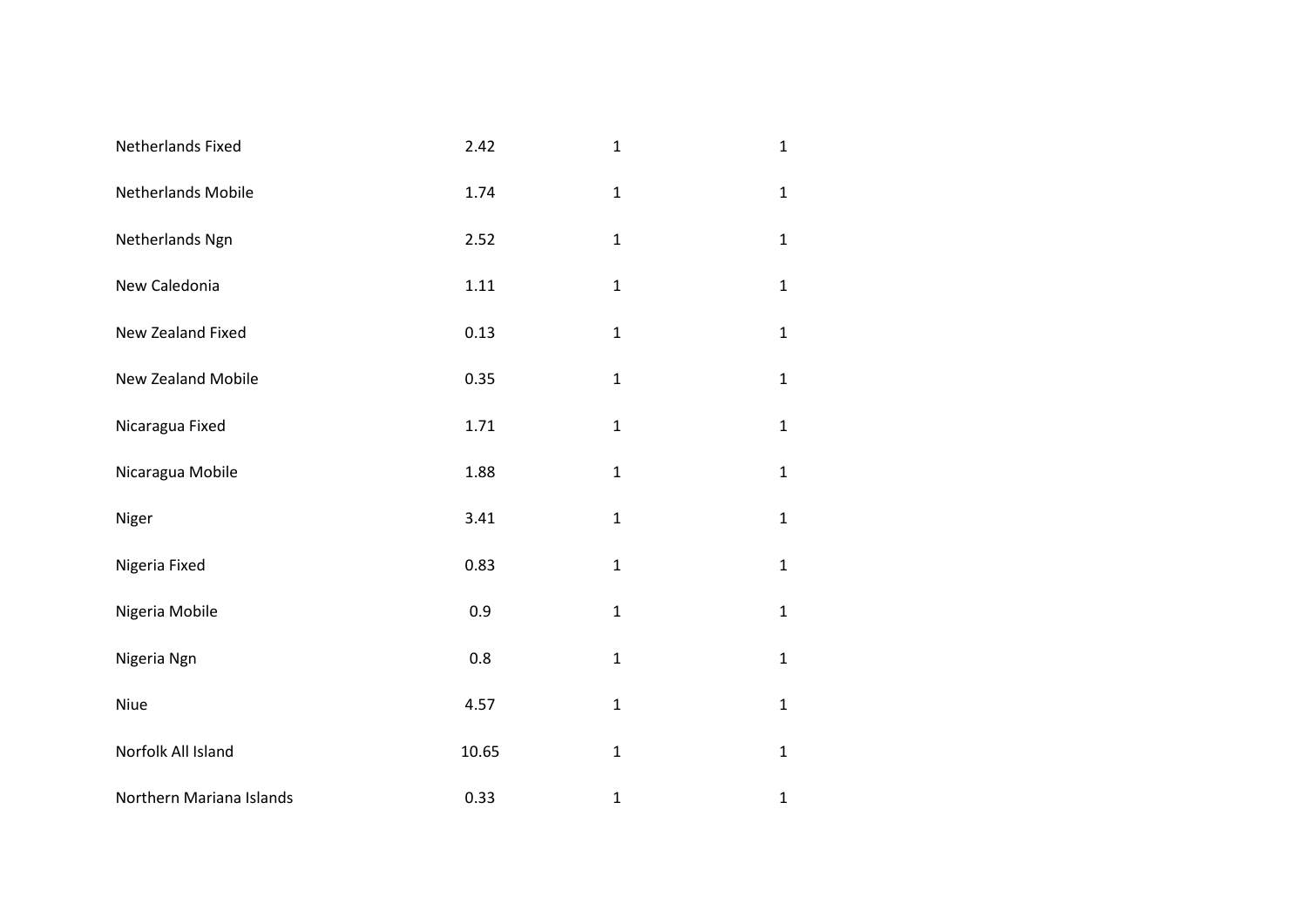| Netherlands Fixed        | 2.42  | $\mathbf{1}$ | $\mathbf{1}$ |
|--------------------------|-------|--------------|--------------|
| Netherlands Mobile       | 1.74  | $\mathbf 1$  | $\mathbf{1}$ |
| Netherlands Ngn          | 2.52  | $\mathbf 1$  | $\mathbf{1}$ |
| New Caledonia            | 1.11  | $\mathbf 1$  | $\mathbf{1}$ |
| New Zealand Fixed        | 0.13  | $\mathbf{1}$ | $\mathbf{1}$ |
| New Zealand Mobile       | 0.35  | $\mathbf{1}$ | $\mathbf{1}$ |
| Nicaragua Fixed          | 1.71  | $\mathbf{1}$ | $\mathbf{1}$ |
| Nicaragua Mobile         | 1.88  | $\mathbf{1}$ | $\mathbf{1}$ |
| Niger                    | 3.41  | $\mathbf{1}$ | $\mathbf{1}$ |
| Nigeria Fixed            | 0.83  | $\mathbf{1}$ | $\mathbf{1}$ |
| Nigeria Mobile           | 0.9   | $\mathbf{1}$ | $\mathbf{1}$ |
| Nigeria Ngn              | 0.8   | $\mathbf{1}$ | $\mathbf{1}$ |
| Niue                     | 4.57  | $\mathbf{1}$ | $\mathbf{1}$ |
| Norfolk All Island       | 10.65 | $\mathbf{1}$ | $\mathbf{1}$ |
| Northern Mariana Islands | 0.33  | $\mathbf{1}$ | $\mathbf{1}$ |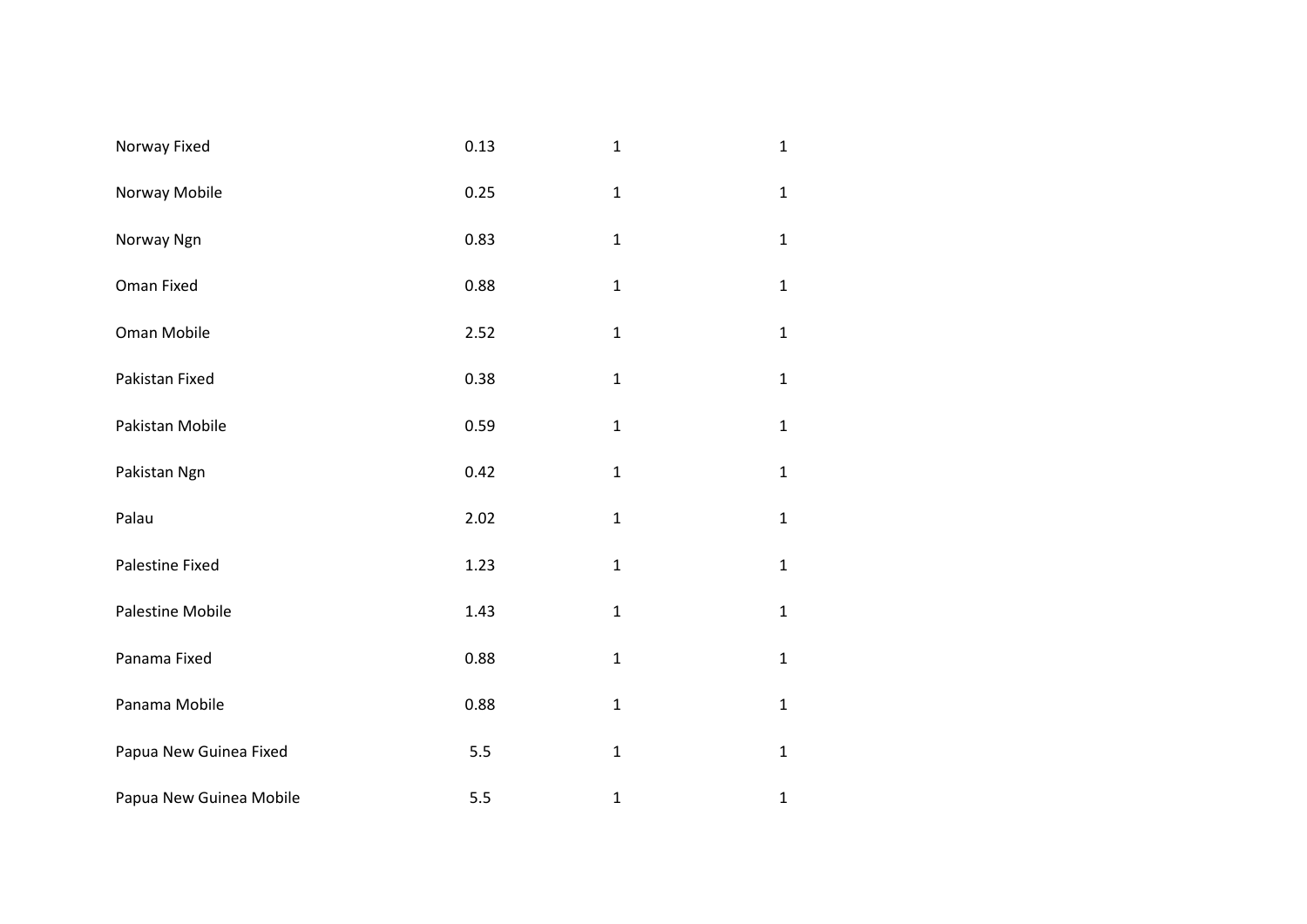| Norway Fixed            | 0.13 | $\mathbf{1}$ | $\mathbf 1$  |
|-------------------------|------|--------------|--------------|
| Norway Mobile           | 0.25 | $\mathbf{1}$ | $\mathbf{1}$ |
| Norway Ngn              | 0.83 | $\mathbf 1$  | $\mathbf 1$  |
| Oman Fixed              | 0.88 | $\mathbf{1}$ | $\mathbf 1$  |
| Oman Mobile             | 2.52 | $\mathbf{1}$ | $\mathbf 1$  |
| Pakistan Fixed          | 0.38 | $\mathbf{1}$ | $\mathbf 1$  |
| Pakistan Mobile         | 0.59 | $\mathbf{1}$ | $\mathbf 1$  |
| Pakistan Ngn            | 0.42 | $\mathbf 1$  | $\mathbf 1$  |
| Palau                   | 2.02 | $\mathbf 1$  | $\mathbf 1$  |
| Palestine Fixed         | 1.23 | $\mathbf{1}$ | $\mathbf 1$  |
| Palestine Mobile        | 1.43 | $\mathbf 1$  | $\mathbf 1$  |
| Panama Fixed            | 0.88 | $\mathbf{1}$ | $\mathbf{1}$ |
| Panama Mobile           | 0.88 | $\mathbf{1}$ | $\mathbf 1$  |
| Papua New Guinea Fixed  | 5.5  | $\mathbf 1$  | $\mathbf 1$  |
| Papua New Guinea Mobile | 5.5  | $\mathbf 1$  | $\mathbf 1$  |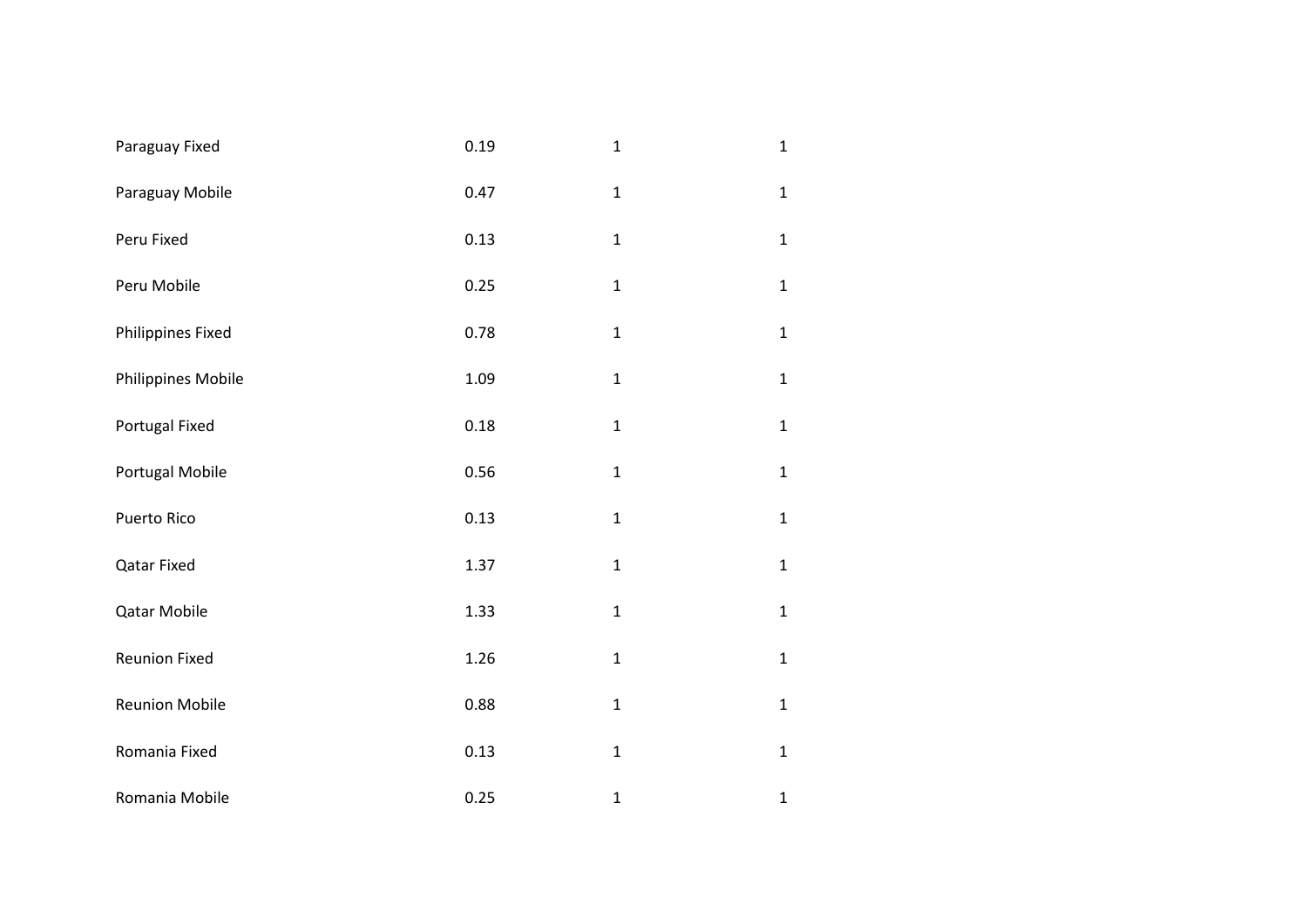| Paraguay Fixed        | 0.19 | $\mathbf 1$  | $\mathbf{1}$ |
|-----------------------|------|--------------|--------------|
| Paraguay Mobile       | 0.47 | $\mathbf 1$  | $\mathbf{1}$ |
| Peru Fixed            | 0.13 | $\mathbf 1$  | $\mathbf{1}$ |
| Peru Mobile           | 0.25 | $\mathbf 1$  | $\mathbf{1}$ |
| Philippines Fixed     | 0.78 | $\mathbf{1}$ | $\mathbf{1}$ |
| Philippines Mobile    | 1.09 | $\mathbf{1}$ | $\mathbf{1}$ |
| Portugal Fixed        | 0.18 | $\mathbf 1$  | $\mathbf{1}$ |
| Portugal Mobile       | 0.56 | $\mathbf 1$  | $\mathbf{1}$ |
| Puerto Rico           | 0.13 | $\mathbf{1}$ | $\mathbf{1}$ |
| <b>Qatar Fixed</b>    | 1.37 | $\mathbf 1$  | $\mathbf{1}$ |
| Qatar Mobile          | 1.33 | $\mathbf 1$  | $\mathbf{1}$ |
| Reunion Fixed         | 1.26 | $\mathbf 1$  | $\mathbf{1}$ |
| <b>Reunion Mobile</b> | 0.88 | $\mathbf{1}$ | $\mathbf{1}$ |
| Romania Fixed         | 0.13 | $\mathbf 1$  | $\mathbf{1}$ |
| Romania Mobile        | 0.25 | $\mathbf{1}$ | $\mathbf 1$  |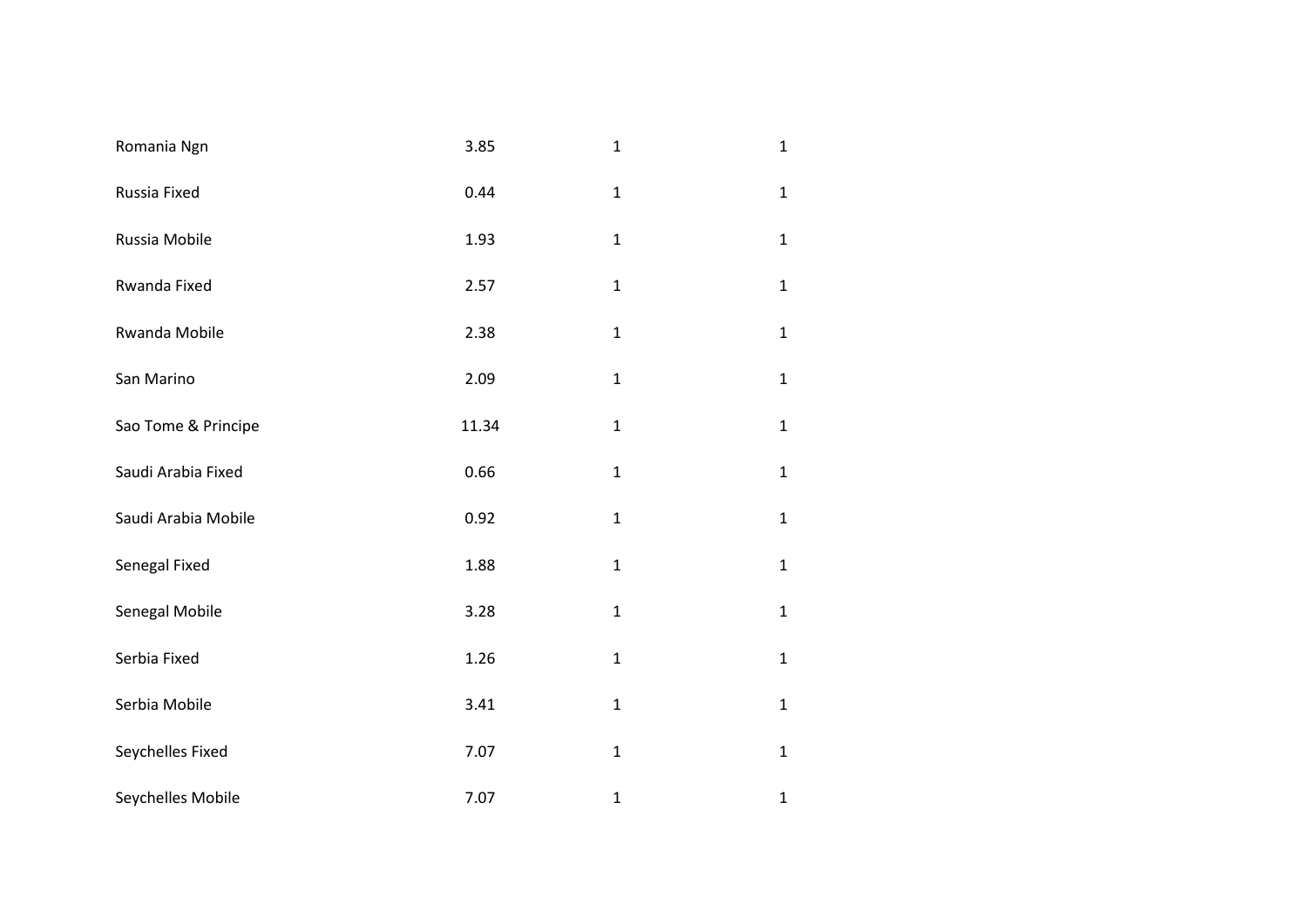| Romania Ngn         | 3.85  | $\mathbf{1}$ | $\mathbf{1}$ |
|---------------------|-------|--------------|--------------|
| Russia Fixed        | 0.44  | $\mathbf 1$  | $\mathbf{1}$ |
| Russia Mobile       | 1.93  | $\mathbf{1}$ | $\mathbf{1}$ |
| Rwanda Fixed        | 2.57  | $\mathbf{1}$ | $\mathbf{1}$ |
| Rwanda Mobile       | 2.38  | $\mathbf{1}$ | $\mathbf{1}$ |
| San Marino          | 2.09  | $\mathbf{1}$ | $\mathbf{1}$ |
| Sao Tome & Principe | 11.34 | $\mathbf{1}$ | $\mathbf{1}$ |
| Saudi Arabia Fixed  | 0.66  | $\mathbf{1}$ | $\mathbf{1}$ |
| Saudi Arabia Mobile | 0.92  | $\mathbf{1}$ | $\mathbf{1}$ |
| Senegal Fixed       | 1.88  | $\mathbf{1}$ | $\mathbf{1}$ |
| Senegal Mobile      | 3.28  | $\mathbf{1}$ | $\mathbf{1}$ |
| Serbia Fixed        | 1.26  | $\mathbf{1}$ | $\mathbf{1}$ |
| Serbia Mobile       | 3.41  | $\mathbf{1}$ | $\mathbf{1}$ |
| Seychelles Fixed    | 7.07  | $\mathbf{1}$ | $\mathbf{1}$ |
| Seychelles Mobile   | 7.07  | $\mathbf{1}$ | $\mathbf{1}$ |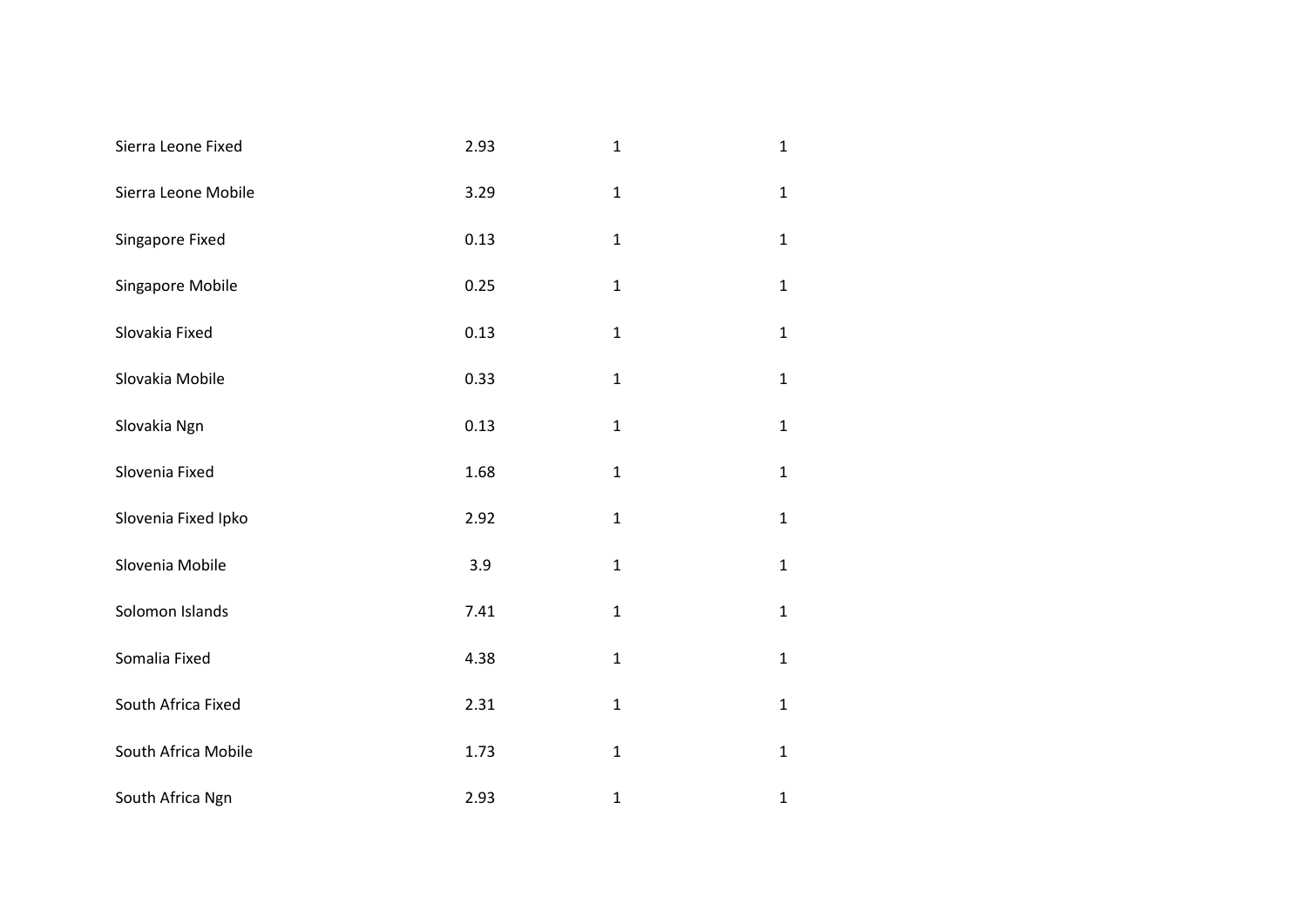| Sierra Leone Fixed  | 2.93 | $\mathbf{1}$ | $\mathbf{1}$ |
|---------------------|------|--------------|--------------|
| Sierra Leone Mobile | 3.29 | $\mathbf 1$  | $\mathbf{1}$ |
| Singapore Fixed     | 0.13 | $\mathbf{1}$ | $\mathbf{1}$ |
| Singapore Mobile    | 0.25 | $\mathbf 1$  | $\mathbf{1}$ |
| Slovakia Fixed      | 0.13 | $\mathbf{1}$ | $\mathbf{1}$ |
| Slovakia Mobile     | 0.33 | $\mathbf{1}$ | $\mathbf{1}$ |
| Slovakia Ngn        | 0.13 | $\mathbf{1}$ | $\mathbf{1}$ |
| Slovenia Fixed      | 1.68 | $\mathbf 1$  | $\mathbf{1}$ |
| Slovenia Fixed Ipko | 2.92 | $\mathbf{1}$ | $\mathbf{1}$ |
| Slovenia Mobile     | 3.9  | $\mathbf{1}$ | $\mathbf{1}$ |
| Solomon Islands     | 7.41 | $\mathbf 1$  | $\mathbf{1}$ |
| Somalia Fixed       | 4.38 | $\mathbf{1}$ | $\mathbf{1}$ |
| South Africa Fixed  | 2.31 | $\mathbf{1}$ | $\mathbf{1}$ |
| South Africa Mobile | 1.73 | $\mathbf 1$  | $\mathbf{1}$ |
| South Africa Ngn    | 2.93 | $\mathbf{1}$ | $\mathbf 1$  |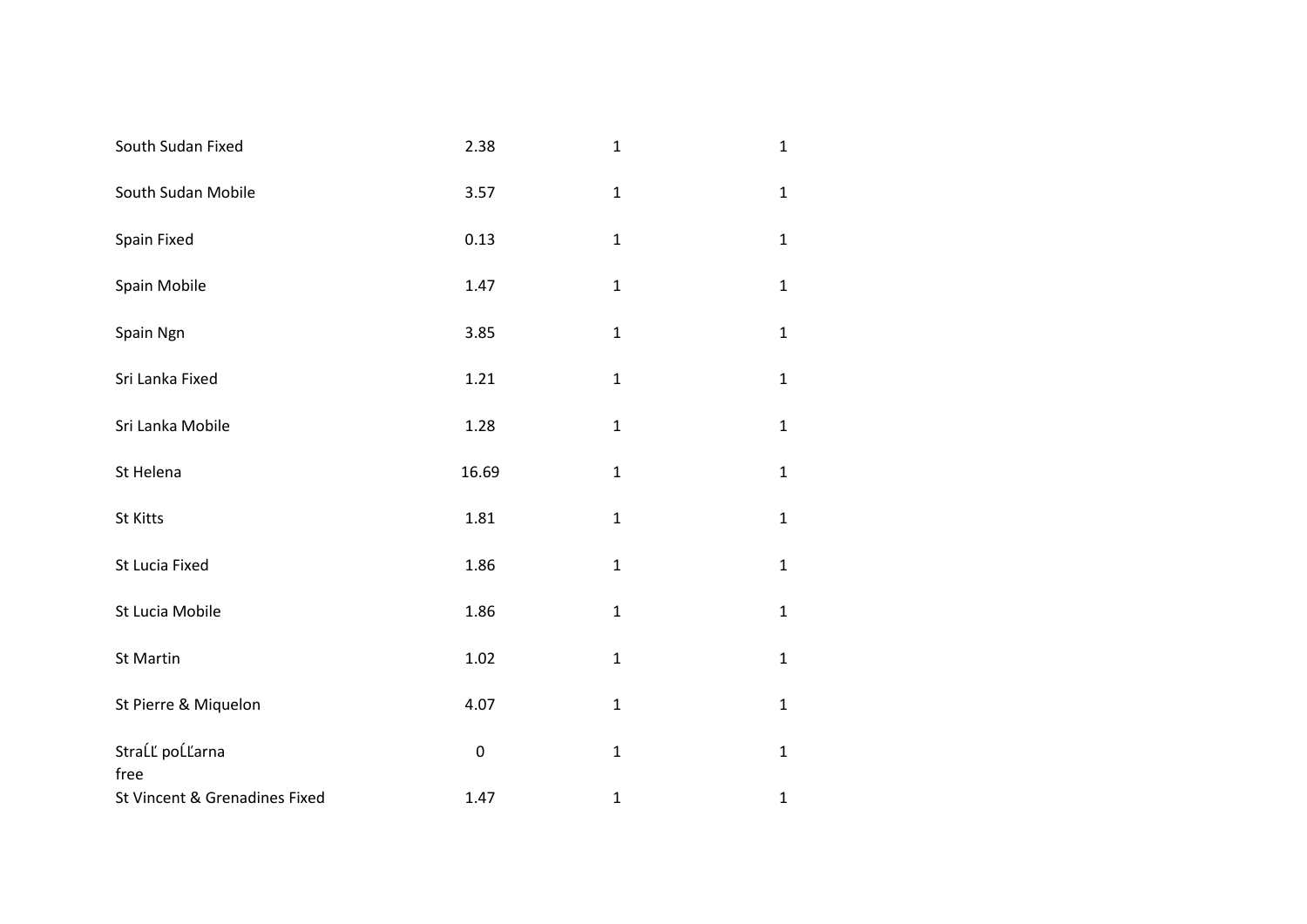| South Sudan Fixed             | 2.38      | $\mathbf{1}$ | $\mathbf{1}$ |
|-------------------------------|-----------|--------------|--------------|
| South Sudan Mobile            | 3.57      | $\mathbf{1}$ | $\mathbf{1}$ |
| Spain Fixed                   | 0.13      | $\mathbf{1}$ | $\mathbf{1}$ |
| Spain Mobile                  | 1.47      | $\mathbf{1}$ | $\mathbf{1}$ |
| Spain Ngn                     | 3.85      | $\mathbf{1}$ | $\mathbf{1}$ |
| Sri Lanka Fixed               | 1.21      | $\mathbf{1}$ | $\mathbf{1}$ |
| Sri Lanka Mobile              | 1.28      | $\mathbf{1}$ | $\mathbf{1}$ |
| St Helena                     | 16.69     | $\mathbf{1}$ | $\mathbf{1}$ |
| St Kitts                      | 1.81      | $\mathbf{1}$ | $\mathbf{1}$ |
| St Lucia Fixed                | 1.86      | $\mathbf{1}$ | $\mathbf{1}$ |
| St Lucia Mobile               | 1.86      | $\mathbf{1}$ | $\mathbf{1}$ |
| St Martin                     | 1.02      | $\mathbf{1}$ | $\mathbf{1}$ |
| St Pierre & Miquelon          | 4.07      | $\mathbf 1$  | $\mathbf{1}$ |
| StraĹĽ poĹĽarna<br>free       | $\pmb{0}$ | $\mathbf{1}$ | $\mathbf{1}$ |
| St Vincent & Grenadines Fixed | 1.47      | $\mathbf{1}$ | $\mathbf{1}$ |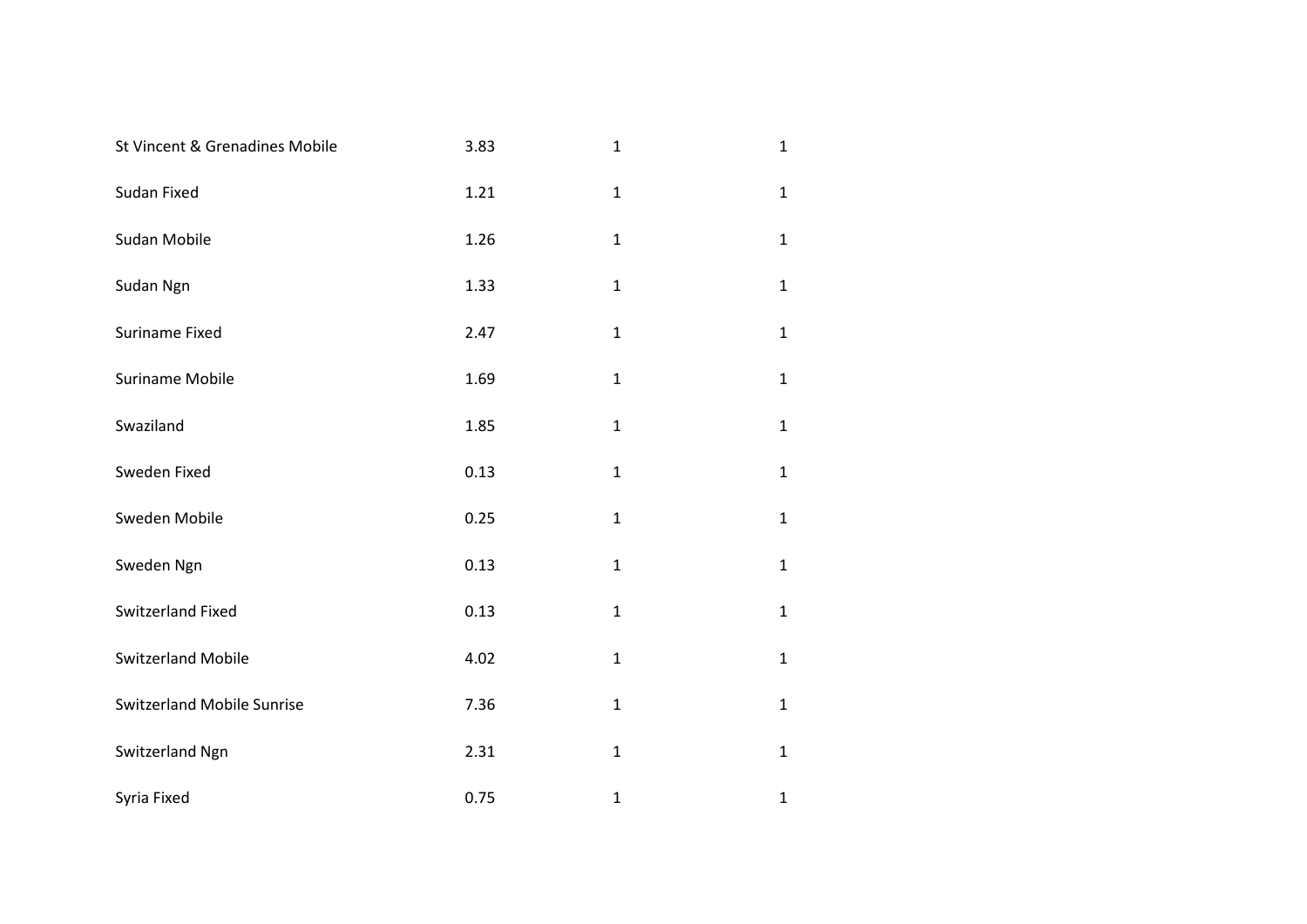| St Vincent & Grenadines Mobile    | 3.83 | $\mathbf{1}$ | $\mathbf 1$  |
|-----------------------------------|------|--------------|--------------|
| Sudan Fixed                       | 1.21 | $\mathbf{1}$ | $\mathbf{1}$ |
| Sudan Mobile                      | 1.26 | $\mathbf{1}$ | $\mathbf{1}$ |
| Sudan Ngn                         | 1.33 | $\mathbf{1}$ | $\mathbf 1$  |
| Suriname Fixed                    | 2.47 | $\mathbf{1}$ | $\mathbf{1}$ |
| <b>Suriname Mobile</b>            | 1.69 | $\mathbf 1$  | $\mathbf 1$  |
| Swaziland                         | 1.85 | $\mathbf 1$  | $\mathbf{1}$ |
| Sweden Fixed                      | 0.13 | $\mathbf 1$  | $\mathbf 1$  |
| Sweden Mobile                     | 0.25 | $\mathbf 1$  | $\mathbf 1$  |
| Sweden Ngn                        | 0.13 | $\mathbf 1$  | $\mathbf 1$  |
| Switzerland Fixed                 | 0.13 | $\mathbf 1$  | $\mathbf{1}$ |
| <b>Switzerland Mobile</b>         | 4.02 | $\mathbf 1$  | $\mathbf{1}$ |
| <b>Switzerland Mobile Sunrise</b> | 7.36 | $\mathbf 1$  | $\mathbf{1}$ |
| Switzerland Ngn                   | 2.31 | $\mathbf 1$  | $\mathbf 1$  |
| Syria Fixed                       | 0.75 | $\mathbf 1$  | $\mathbf 1$  |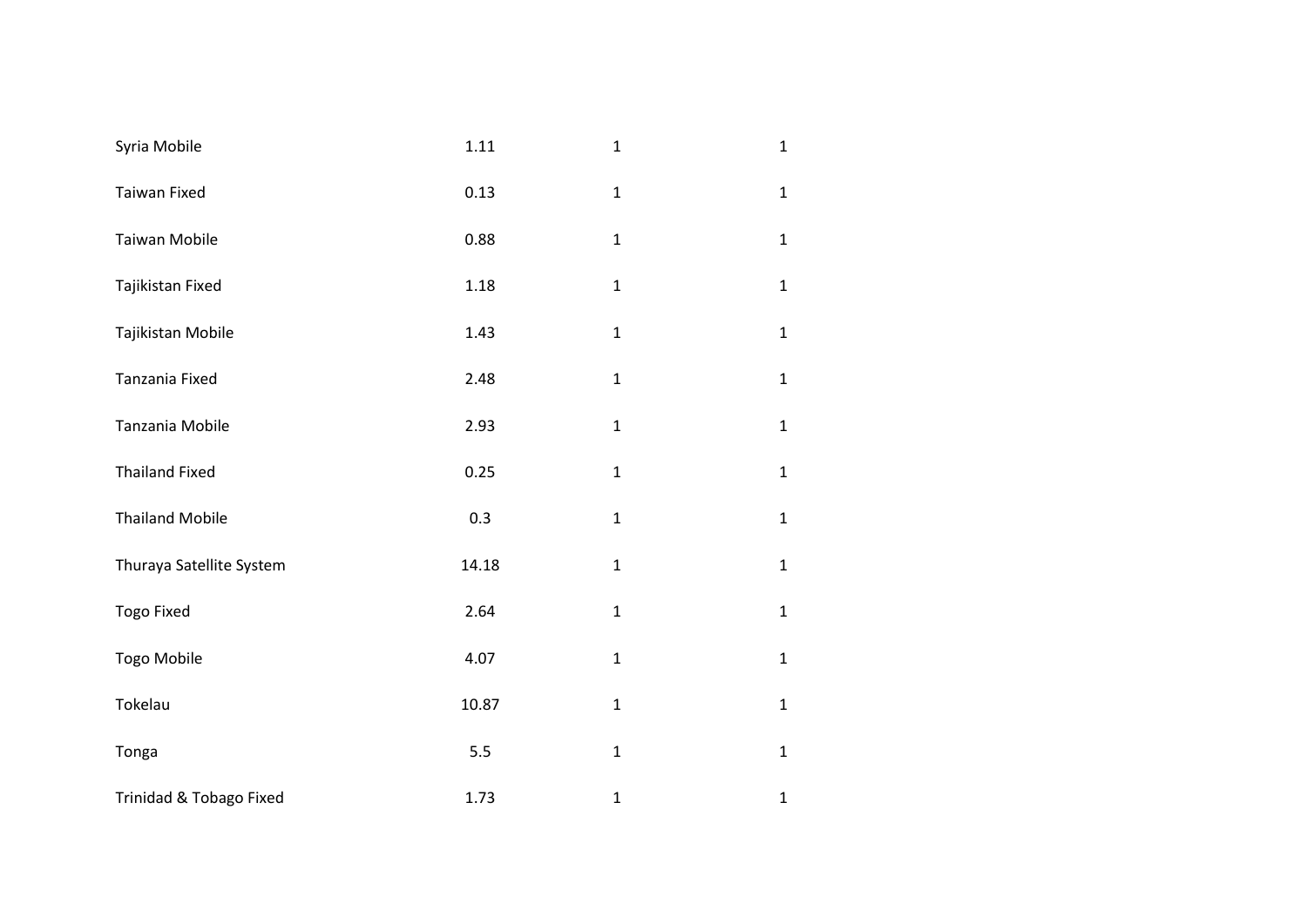| Syria Mobile             | 1.11  | $\mathbf{1}$ | $\mathbf{1}$ |
|--------------------------|-------|--------------|--------------|
| <b>Taiwan Fixed</b>      | 0.13  | $\mathbf{1}$ | $\mathbf{1}$ |
| Taiwan Mobile            | 0.88  | $\mathbf 1$  | $\mathbf{1}$ |
| Tajikistan Fixed         | 1.18  | $\mathbf{1}$ | $\mathbf{1}$ |
| Tajikistan Mobile        | 1.43  | $\mathbf 1$  | $\mathbf{1}$ |
| Tanzania Fixed           | 2.48  | $\mathbf{1}$ | $\mathbf{1}$ |
| Tanzania Mobile          | 2.93  | $\mathbf{1}$ | $\mathbf{1}$ |
| <b>Thailand Fixed</b>    | 0.25  | $\mathbf 1$  | $\mathbf{1}$ |
| <b>Thailand Mobile</b>   | 0.3   | $\mathbf 1$  | $\mathbf{1}$ |
| Thuraya Satellite System | 14.18 | $\mathbf 1$  | $\mathbf{1}$ |
| <b>Togo Fixed</b>        | 2.64  | $\mathbf{1}$ | $\mathbf{1}$ |
| Togo Mobile              | 4.07  | $\mathbf{1}$ | $\mathbf{1}$ |
| Tokelau                  | 10.87 | $\mathbf 1$  | $\mathbf{1}$ |
| Tonga                    | 5.5   | $\mathbf 1$  | $\mathbf{1}$ |
| Trinidad & Tobago Fixed  | 1.73  | $\mathbf{1}$ | $\mathbf 1$  |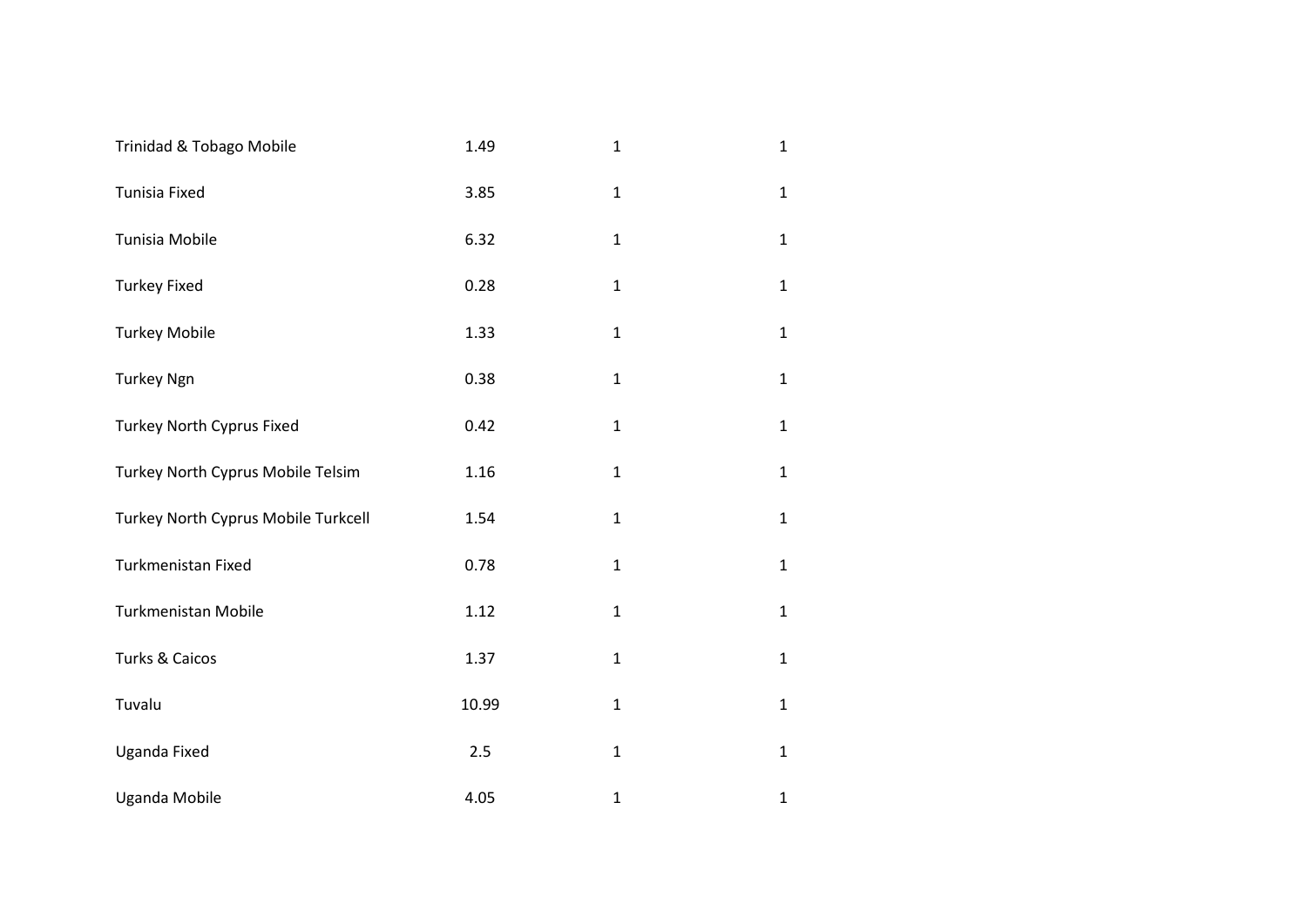| Trinidad & Tobago Mobile            | 1.49  | $\mathbf{1}$ | $\mathbf{1}$ |
|-------------------------------------|-------|--------------|--------------|
| Tunisia Fixed                       | 3.85  | $\mathbf{1}$ | $\mathbf{1}$ |
| Tunisia Mobile                      | 6.32  | $\mathbf{1}$ | $\mathbf{1}$ |
| <b>Turkey Fixed</b>                 | 0.28  | $\mathbf{1}$ | $\mathbf{1}$ |
| <b>Turkey Mobile</b>                | 1.33  | $\mathbf{1}$ | $\mathbf{1}$ |
| <b>Turkey Ngn</b>                   | 0.38  | $\mathbf{1}$ | $\mathbf{1}$ |
| Turkey North Cyprus Fixed           | 0.42  | $\mathbf{1}$ | $\mathbf{1}$ |
| Turkey North Cyprus Mobile Telsim   | 1.16  | $\mathbf{1}$ | $\mathbf{1}$ |
| Turkey North Cyprus Mobile Turkcell | 1.54  | $\mathbf 1$  | $\mathbf{1}$ |
| Turkmenistan Fixed                  | 0.78  | $\mathbf{1}$ | $\mathbf{1}$ |
| Turkmenistan Mobile                 | 1.12  | $\mathbf{1}$ | $\mathbf{1}$ |
| Turks & Caicos                      | 1.37  | $\mathbf{1}$ | $\mathbf{1}$ |
| Tuvalu                              | 10.99 | $\mathbf 1$  | $\mathbf{1}$ |
| Uganda Fixed                        | 2.5   | $\mathbf{1}$ | $\mathbf{1}$ |
| <b>Uganda Mobile</b>                | 4.05  | $\mathbf{1}$ | $\mathbf{1}$ |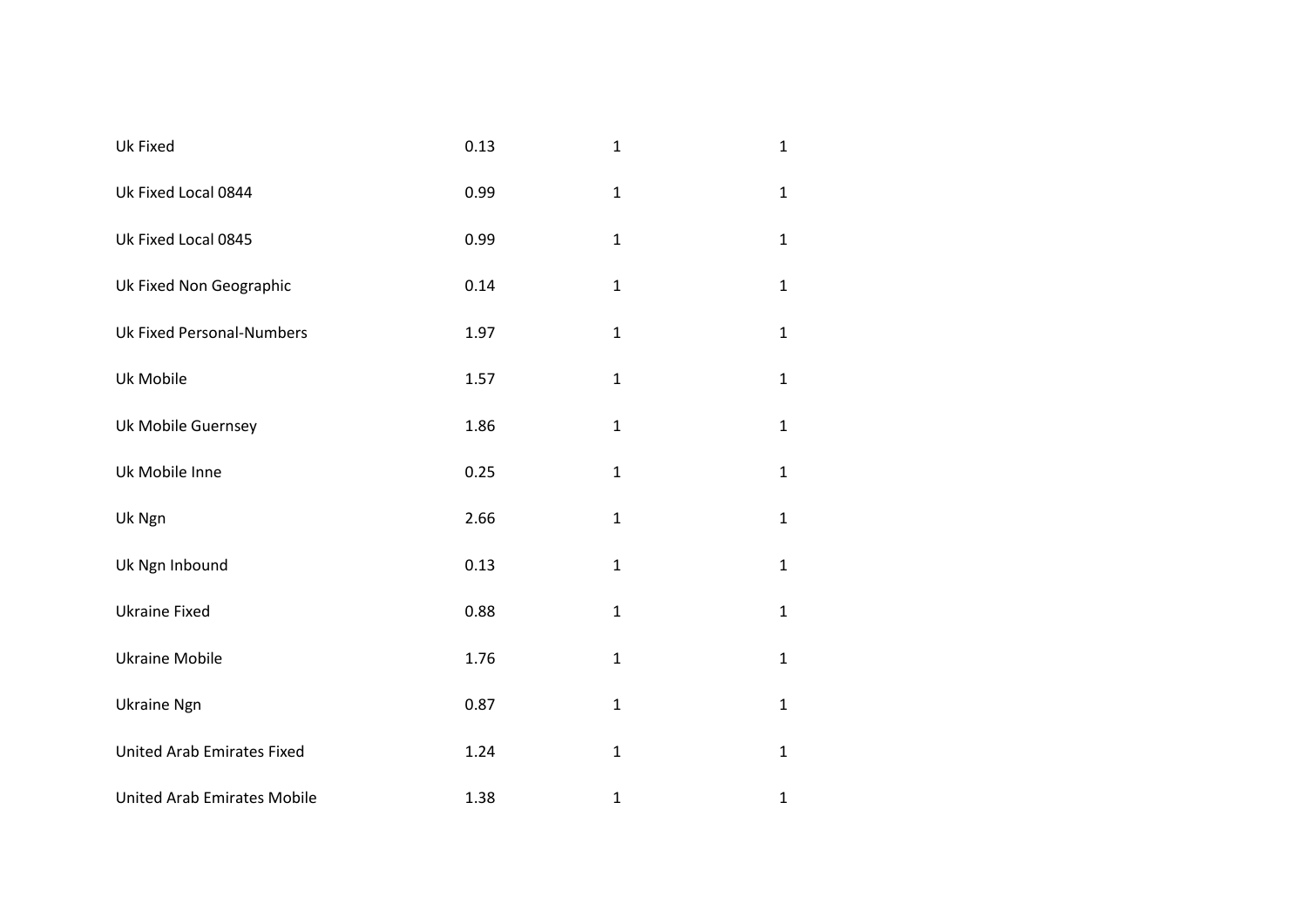| Uk Fixed                           | 0.13 | $\mathbf{1}$ | $\mathbf{1}$ |
|------------------------------------|------|--------------|--------------|
| Uk Fixed Local 0844                | 0.99 | $\mathbf{1}$ | $\mathbf{1}$ |
| Uk Fixed Local 0845                | 0.99 | $\mathbf{1}$ | $\mathbf{1}$ |
| Uk Fixed Non Geographic            | 0.14 | $\mathbf{1}$ | $\mathbf{1}$ |
| <b>Uk Fixed Personal-Numbers</b>   | 1.97 | $\mathbf{1}$ | $\mathbf{1}$ |
| Uk Mobile                          | 1.57 | $\mathbf{1}$ | $\mathbf{1}$ |
| Uk Mobile Guernsey                 | 1.86 | $\mathbf{1}$ | $\mathbf{1}$ |
| Uk Mobile Inne                     | 0.25 | $\mathbf 1$  | $\mathbf{1}$ |
| Uk Ngn                             | 2.66 | $\mathbf 1$  | $\mathbf{1}$ |
| Uk Ngn Inbound                     | 0.13 | $\mathbf{1}$ | $\mathbf{1}$ |
| <b>Ukraine Fixed</b>               | 0.88 | $\mathbf{1}$ | $\mathbf{1}$ |
| <b>Ukraine Mobile</b>              | 1.76 | $\mathbf{1}$ | $\mathbf{1}$ |
| <b>Ukraine Ngn</b>                 | 0.87 | $\mathbf{1}$ | $\mathbf{1}$ |
| <b>United Arab Emirates Fixed</b>  | 1.24 | $\mathbf 1$  | $\mathbf{1}$ |
| <b>United Arab Emirates Mobile</b> | 1.38 | $\mathbf 1$  | $\mathbf{1}$ |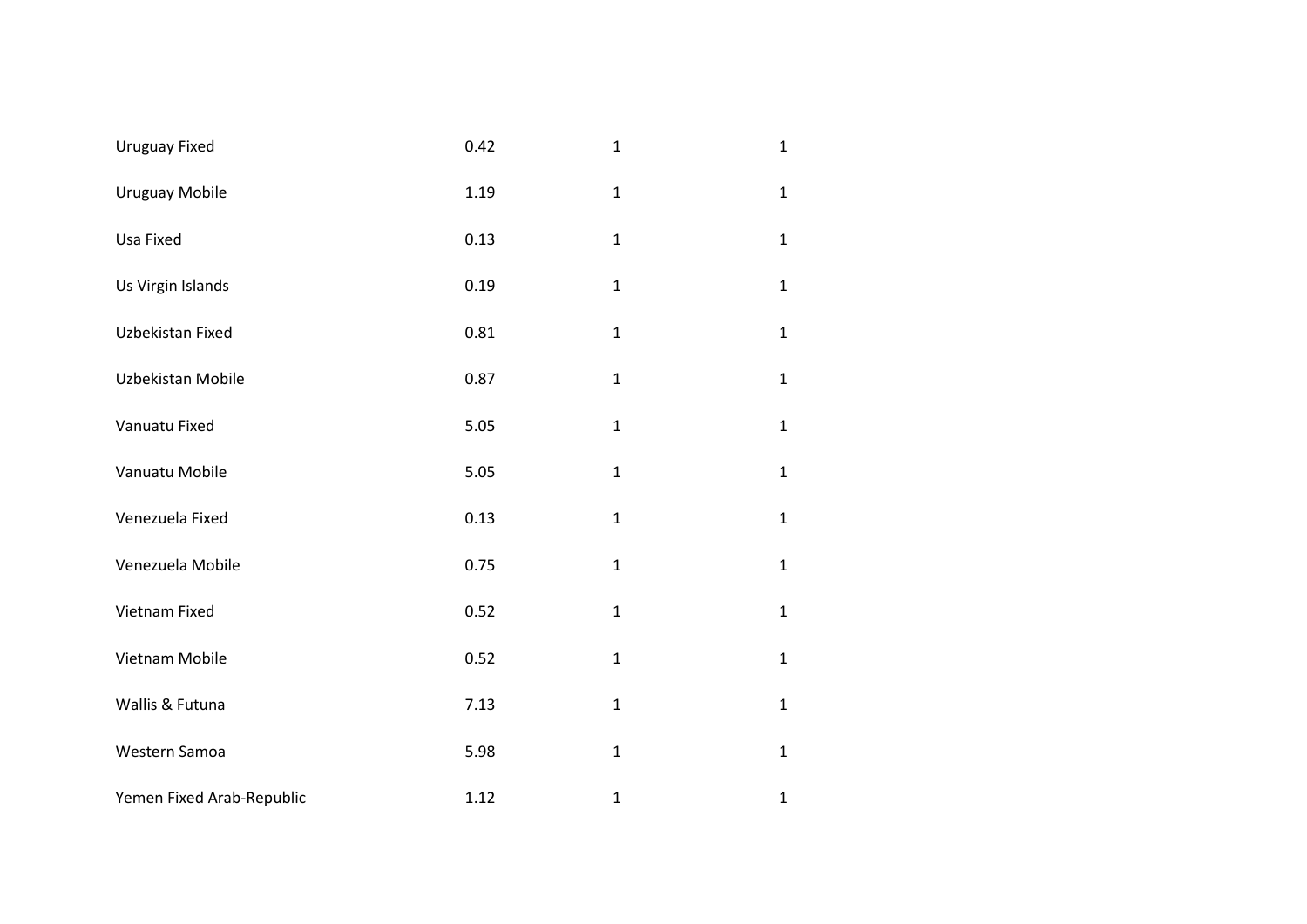| <b>Uruguay Fixed</b>      | 0.42 | $\mathbf{1}$ | $\mathbf{1}$ |
|---------------------------|------|--------------|--------------|
| <b>Uruguay Mobile</b>     | 1.19 | $\mathbf 1$  | $\mathbf{1}$ |
| Usa Fixed                 | 0.13 | $\mathbf{1}$ | $\mathbf{1}$ |
| Us Virgin Islands         | 0.19 | $\mathbf 1$  | $\mathbf{1}$ |
| Uzbekistan Fixed          | 0.81 | $\mathbf{1}$ | $\mathbf{1}$ |
| Uzbekistan Mobile         | 0.87 | $\mathbf{1}$ | $\mathbf{1}$ |
| Vanuatu Fixed             | 5.05 | $\mathbf{1}$ | $\mathbf{1}$ |
| Vanuatu Mobile            | 5.05 | $\mathbf 1$  | $\mathbf{1}$ |
| Venezuela Fixed           | 0.13 | $\mathbf{1}$ | $\mathbf{1}$ |
| Venezuela Mobile          | 0.75 | $\mathbf{1}$ | $\mathbf{1}$ |
| Vietnam Fixed             | 0.52 | $\mathbf 1$  | $\mathbf{1}$ |
| Vietnam Mobile            | 0.52 | $\mathbf{1}$ | $\mathbf{1}$ |
| Wallis & Futuna           | 7.13 | $\mathbf{1}$ | $\mathbf{1}$ |
| Western Samoa             | 5.98 | $\mathbf 1$  | $\mathbf{1}$ |
| Yemen Fixed Arab-Republic | 1.12 | $\mathbf{1}$ | $\mathbf 1$  |